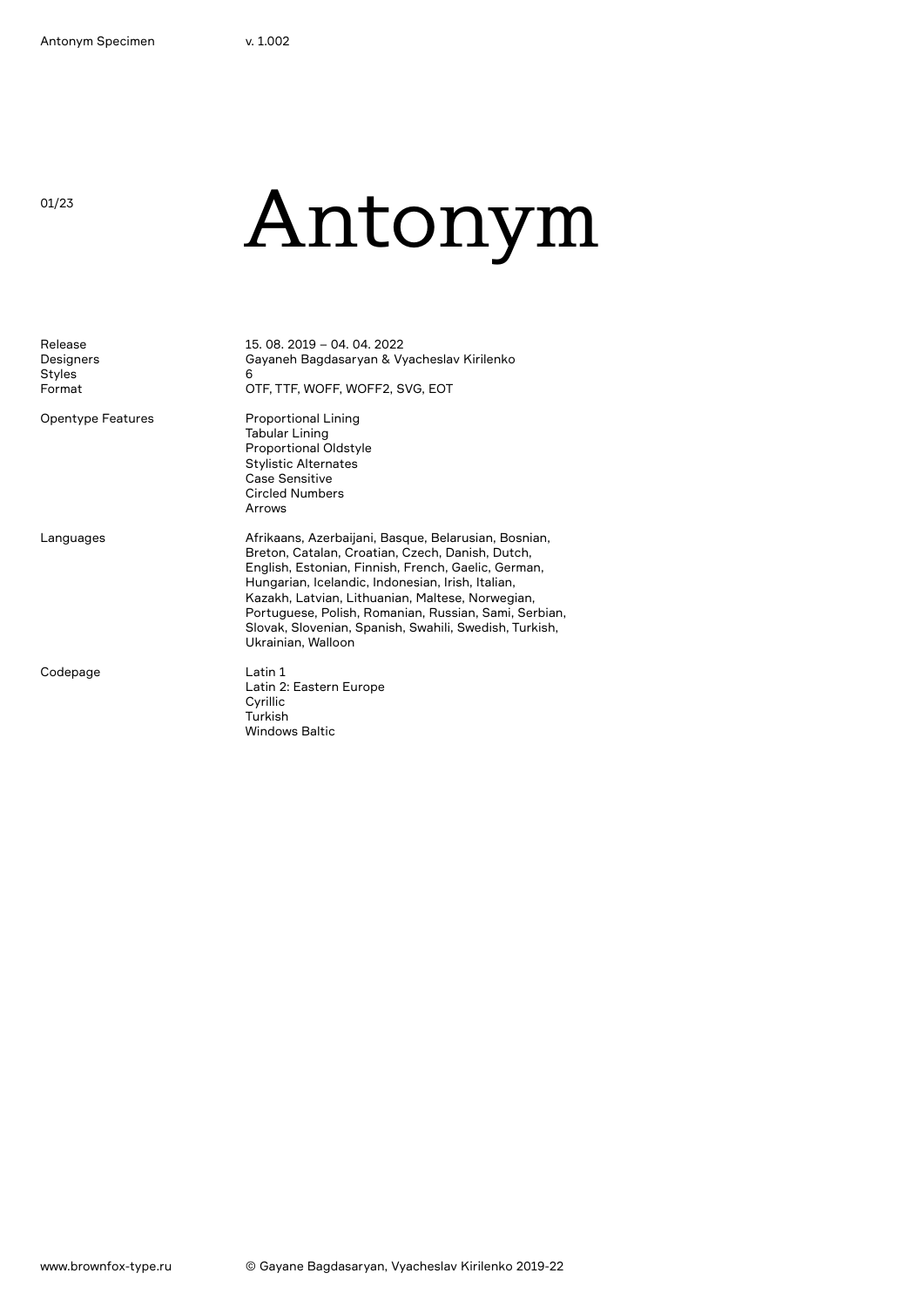01/23

# Antonym

| Release<br>Designers<br><b>Styles</b><br>Format | 15, 08, 2019 - 04, 04, 2022<br>Gayaneh Bagdasaryan & Vyacheslav Kirilenko<br>6<br>OTF, TTF, WOFF, WOFF2, SVG, EOT                                                                                                                                                                                                                                                                                                 |
|-------------------------------------------------|-------------------------------------------------------------------------------------------------------------------------------------------------------------------------------------------------------------------------------------------------------------------------------------------------------------------------------------------------------------------------------------------------------------------|
| Opentype Features                               | <b>Proportional Lining</b><br><b>Tabular Lining</b><br><b>Proportional Oldstyle</b><br><b>Stylistic Alternates</b><br>Case Sensitive<br><b>Circled Numbers</b><br>Arrows                                                                                                                                                                                                                                          |
| Languages                                       | Afrikaans, Azerbaijani, Basque, Belarusian, Bosnian,<br>Breton, Catalan, Croatian, Czech, Danish, Dutch,<br>English, Estonian, Finnish, French, Gaelic, German,<br>Hungarian, Icelandic, Indonesian, Irish, Italian,<br>Kazakh, Latvian, Lithuanian, Maltese, Norwegian,<br>Portuguese, Polish, Romanian, Russian, Sami, Serbian,<br>Slovak, Slovenian, Spanish, Swahili, Swedish, Turkish,<br>Ukrainian, Walloon |
| Codepage                                        | Latin 1<br>Latin 2: Eastern Europe<br>Cyrillic<br>Turkish<br><b>Windows Baltic</b>                                                                                                                                                                                                                                                                                                                                |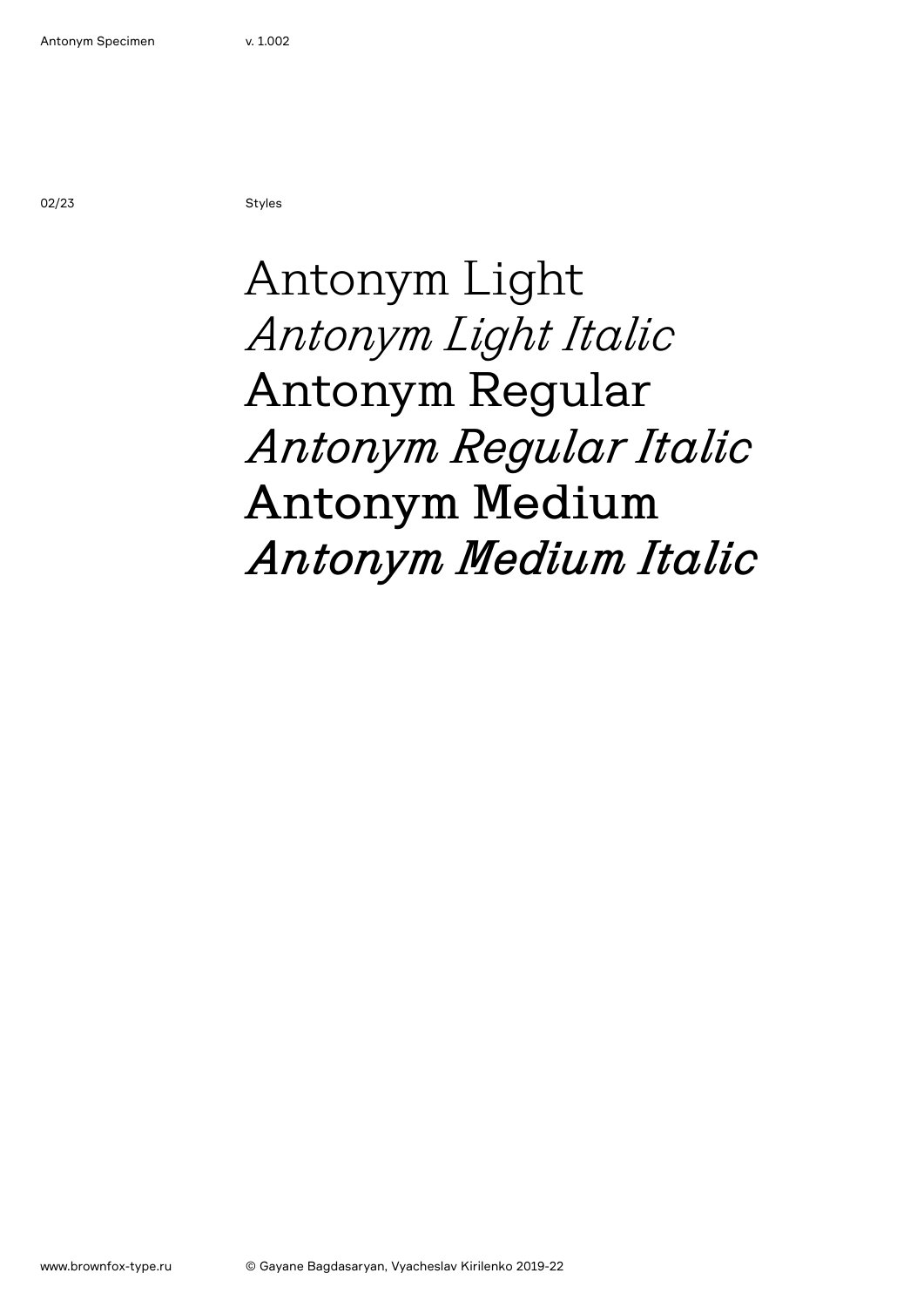02/23 Styles

## Antonym Light *Antonym Light Italic* Antonym Regular *Antonym Regular Italic* Antonym Medium *Antonym Medium Italic*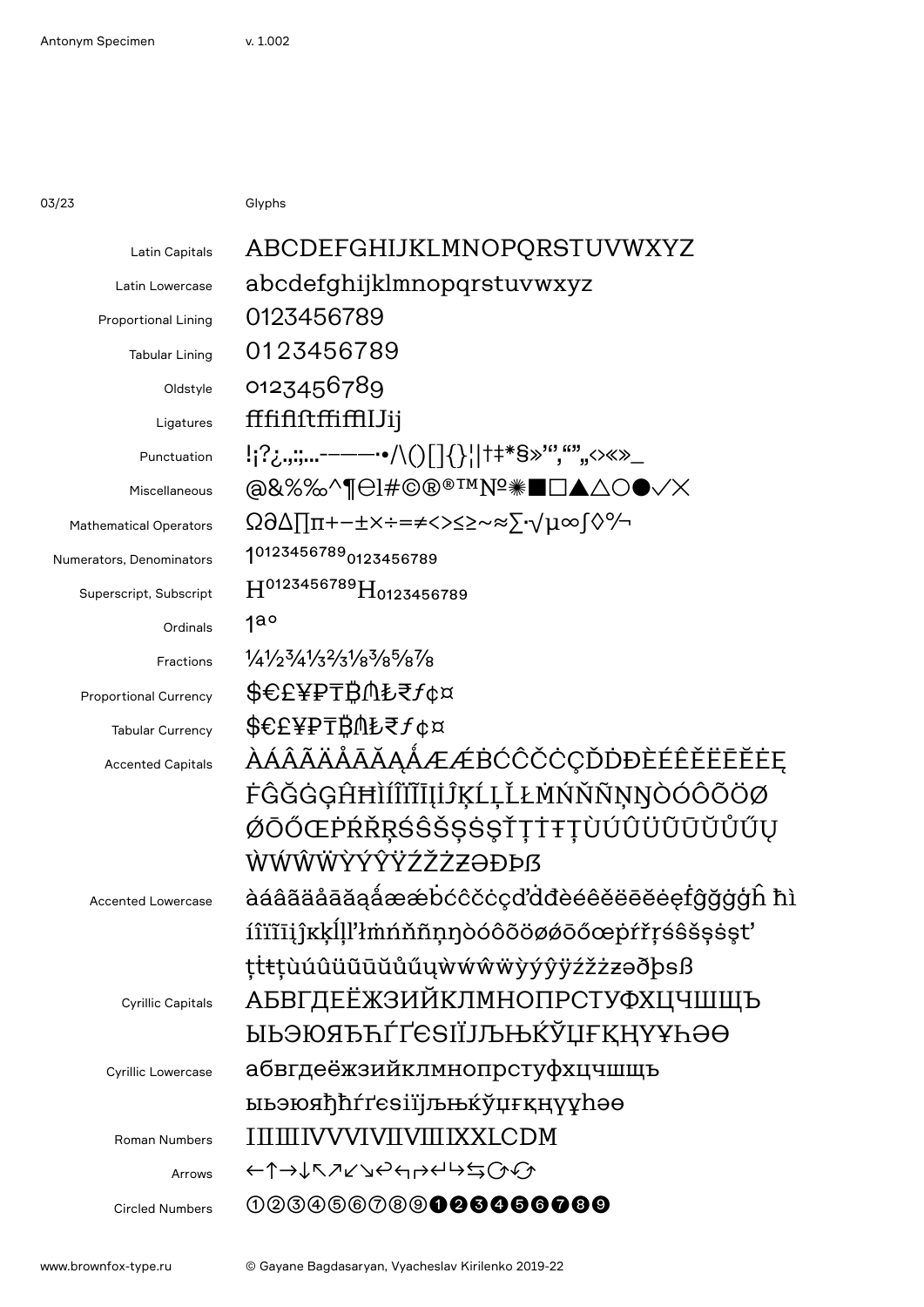03/23 Glyphs

| Latin Capitals                | ABCDEFGHIJKLMNOPQRSTUVWXYZ                  |
|-------------------------------|---------------------------------------------|
| Latin Lowercase               | abcdefghijklmnopqrstuvwxyz                  |
| <b>Proportional Lining</b>    | 0123456789                                  |
| <b>Tabular Lining</b>         | 0123456789                                  |
| Oldstyle                      | 0123456789                                  |
| Ligatures                     | fffififfffffffJJij                          |
| Punctuation                   | !;?¿,,;;-------•/\()[]{}¦ †#*§»'","""<>«»_  |
| Miscellaneous                 | @&%%^¶@!#©®®™Nº <sub>*</sub> ∎⊡▲∆○●√X       |
| <b>Mathematical Operators</b> | Ω∂∆∏π+−±×÷=≠<>≤≥~≈∑∙√μ∞∫◊%                  |
| Numerators, Denominators      | 10123456789 <sub>0123456789</sub>           |
| Superscript, Subscript        | H0123456789H0123456789                      |
| Ordinals                      | $1a^{\circ}$                                |
| Fractions                     | $1/4/2^3/4/3^2/3^1/8^3/8^5/8^7/8$           |
| <b>Proportional Currency</b>  | <b>\$€£¥₽₸₿⋔₺₹</b> ƒ¢¤                      |
| <b>Tabular Currency</b>       | <b>\$€£¥₽₸₿⋔₺₹</b> ƒ¢¤                      |
| <b>Accented Capitals</b>      | ÀÁÂÃÄÅÅĀĂĄÅÆÆBĆĈČĊÇĎDĐÈÉÊĚËĒĔĖĘ             |
|                               | ĖĜĞĠĢĤĦÌÍÎĬĨĪIJĨĶĹĻĽŁMŃŇÑŅŊÒÓÔÕÖØ           |
|                               | ØŌŐŒPŔŘŖŚŜŠŞŚŞŤŢŤŦŢÙÚÛÜŨŪŬŮŰŲ               |
|                               | ŴŴŴŴŶÝŶŸŹŽŻZƏĐÞß                            |
| <b>Accented Lowercase</b>     | àáâãäåāãaåææbccccdddèéêěëēěefĝğggh hì       |
|                               | íîïĩīijîkkĺll'łmnňñnnoóôõöøøōőœpŕřŗśŝšşsşt' |
|                               | ttttuúûüūūŭűűwwwwwyýŷÿźžzzəðþsß             |
| <b>Cyrillic Capitals</b>      | АБВГДЕЁЖЗИЙКЛМНОПРСТУФХЦЧШЩЪ                |
|                               | ӸҌӬ҈Ѹ҈ҦҴҴҼѲӀӀӅҌ҈ѨҞѮҴӺҜӉҲӾҎӚѲ                |
| <b>Cyrillic Lowercase</b>     | абвгдеёжзийклмнопрстуфхцчшщъ                |
|                               | <b>ыьэюяђћ</b> ѓґеѕіїјљњќўџғқңүұһәө         |
| <b>Roman Numbers</b>          | IIIIIIIVVVIVIIVIIIIXXLCDM                   |
| Arrows                        | ←↑→↓↖↗↙↘↩←?←↓≒∽                             |
| <b>Circled Numbers</b>        | 003066089 <b>00606600</b>                   |
|                               |                                             |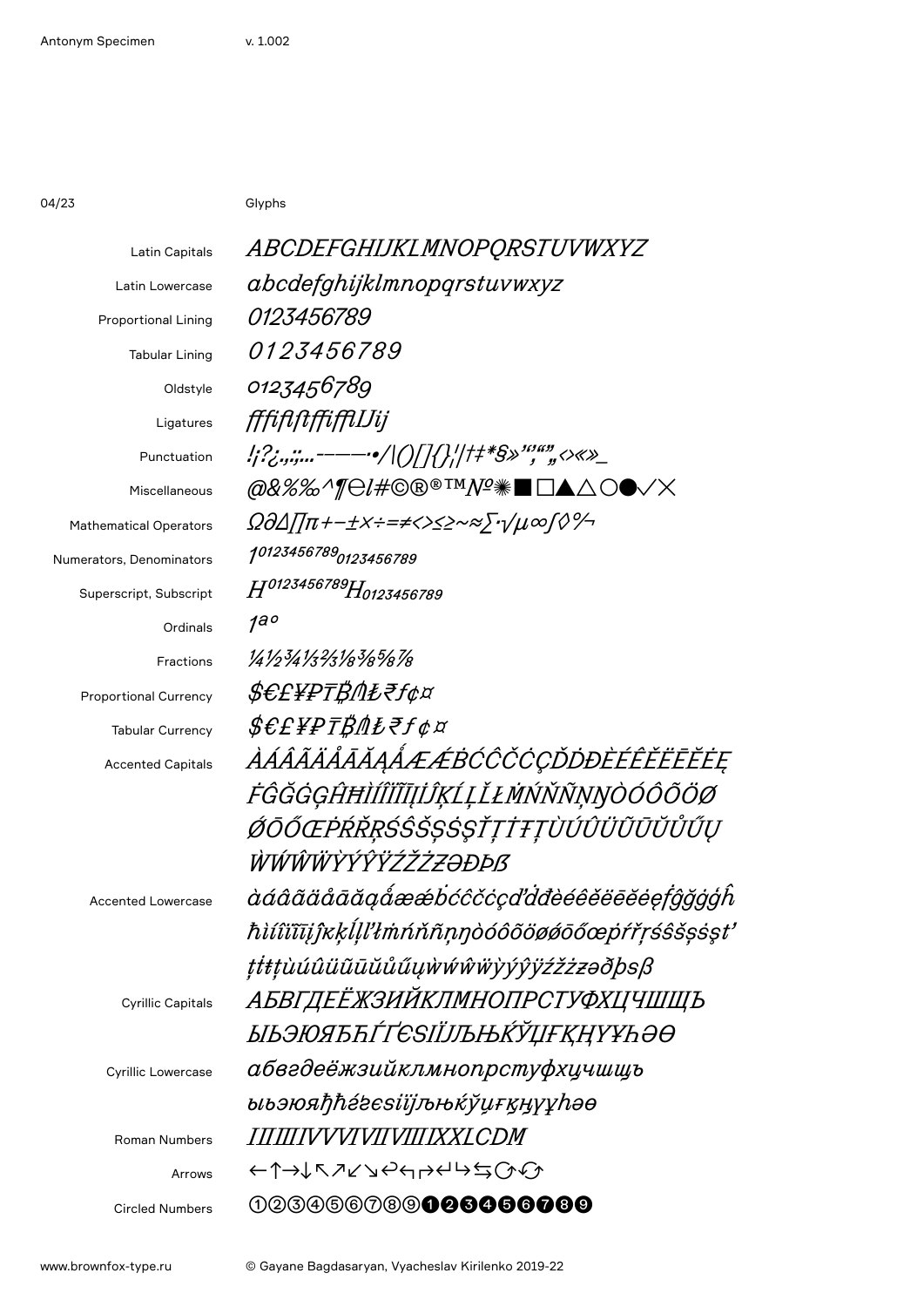04/23 Glyphs

| <b>Latin Capitals</b>         | <i>ABCDEFGHIJKLMNOPQRSTUVWXYZ</i>             |
|-------------------------------|-----------------------------------------------|
| Latin Lowercase               | abcdefghijklmnopqrstuvwxyz                    |
| <b>Proportional Lining</b>    | <i>0123456789</i>                             |
| <b>Tabular Lining</b>         | <i>0123456789</i>                             |
| Oldstyle                      | 0123456789                                    |
| Ligatures                     | fffififffffflJij                              |
| Punctuation                   | !;?;.,;;------•/ () ]{};  t#\$»'",""<>«»_     |
| Miscellaneous                 | <i>@&amp;%%^¶⊖!#</i> ©®®™ <i>Nº</i> ☀■□▲△○●✓× |
| <b>Mathematical Operators</b> | Ω∂Δ∏π+−±x÷=≠<>≤≥~≈∑∙γµ∞∫◊%                    |
| Numerators, Denominators      | 10123456789 <sub>0123456789</sub>             |
| Superscript, Subscript        | H0123456789H0123456789                        |
| Ordinals                      | 1a°                                           |
| Fractions                     | 14123413313183187878                          |
| <b>Proportional Currency</b>  | <i>\$€£¥₽₸₿⋔₺₹f</i> ¢¤                        |
| <b>Tabular Currency</b>       | <i>\$€£¥₽₸₿⋔₺₹f</i> ¢¤                        |
| <b>Accented Capitals</b>      | ÀÁÂÃÄÅÅĀĂĄÅÆÆBĆĈČĊÇĎĎĐÈÉÊĚËĒĔĖĘ               |
|                               | <i>ĖĜĞĠĢĤĦÌĺÎĬĨĪĮIJŖĹĻĽĿŃŃŇŇŅŊÒÓÔÕÖØ</i>      |
|                               | ØŌŐŒPŔŘŖŚŜŠŞŚŞŤŢŤŦŢÙÚÛÜŨŨŨŮŰŲ                 |
|                               | ŴŴŴŴŶŶŶŸŹŽŻZƏĐÞß                              |
| <b>Accented Lowercase</b>     | àáâãäåāāğgåææbćĉčċçďdđèéêěëēĕeefĝğġģĥ         |
|                               | ħìíîïīījĵĸķĺḷľłmńňñṇŋòóôõöøǿōőœpŕřŗśŝšșśşt    |
|                               | ţţŧţùúûüũūŭůűųẁŵŵŵỳýŷÿźžżzəðþsß               |
| <b>Cyrillic Capitals</b>      | АБВГДЕЁЖЗИЙКЛМНОПРСТУФХЦЧШЩЪ                  |
|                               | ӸҌӬЮЯЂЋЃҐЄЅӀЇЈЉЊЌЎЏҒҚҢҮҰҺӘӨ                   |
| <b>Cyrillic Lowercase</b>     | абвгдеёжзийклмнопрстуфхцчшщъ                  |
|                               | ыьэюяђће́гєѕіїјљњќўџғқӊүұһәө                  |
| <b>Roman Numbers</b>          | <i><b>IHIIIIVVVIVIIVIIIIXXI CDM</b></i>       |
| Arrows                        | ←↑→↓↖↗↙↘↩←?←↓≒∽€                              |
| <b>Circled Numbers</b>        | 023456789 <b>006066008</b>                    |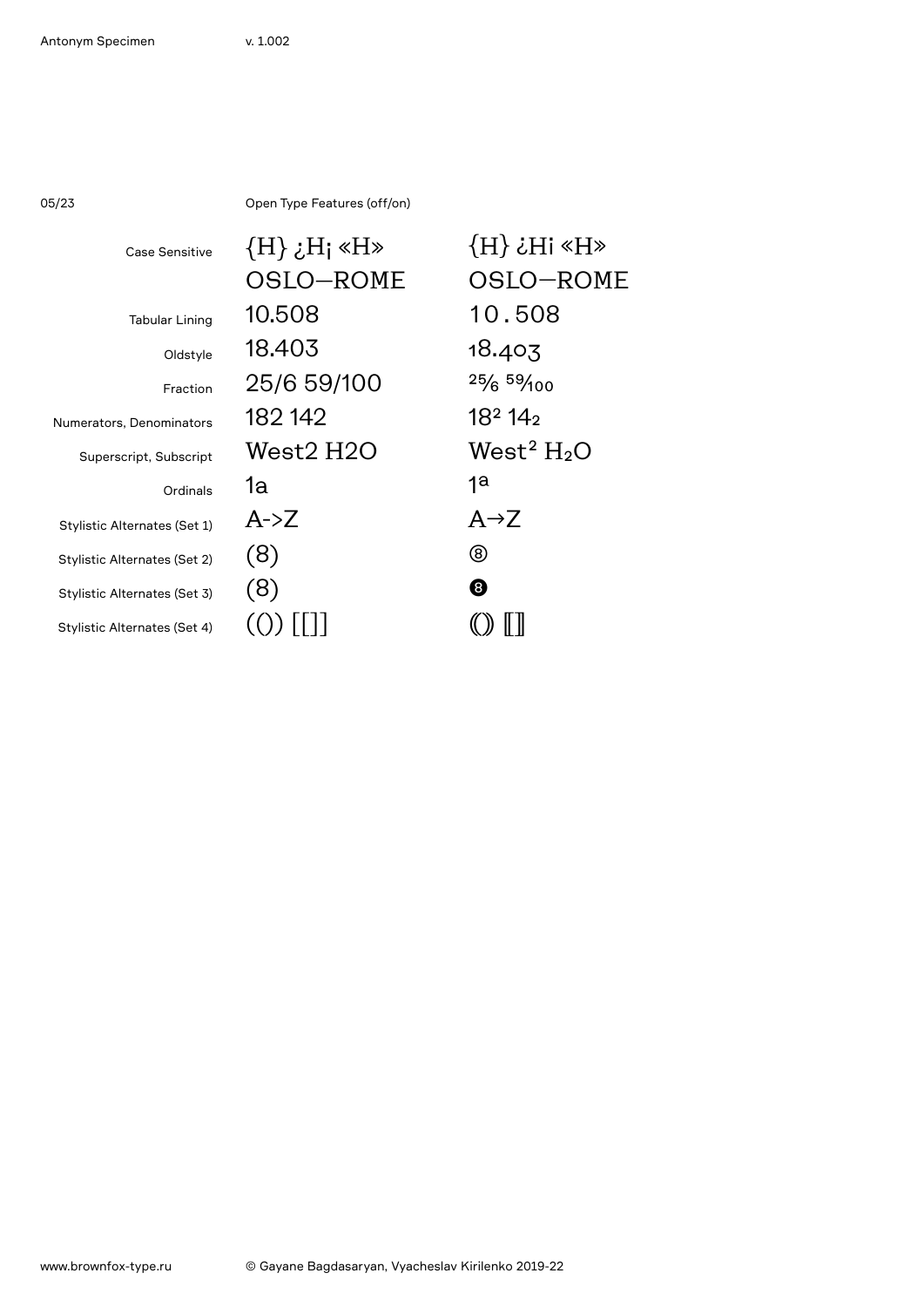05/23 Open Type Features (off/on)

| Case Sensitive               | $\{H\}$ $\{H\}$ $\{H\}$ | $\langle H \rangle$ iHs $\langle H \rangle$ |
|------------------------------|-------------------------|---------------------------------------------|
|                              | OSLO-ROME               | OSLO-ROME                                   |
| <b>Tabular Lining</b>        | 10.508                  | 10.508                                      |
| Oldstyle                     | 18.403                  | 18.403                                      |
| Fraction                     | 25/6 59/100             | 25/659/100                                  |
| Numerators, Denominators     | 182 142                 | 18 <sup>2</sup> 14 <sub>2</sub>             |
| Superscript, Subscript       | West2 H2O               | West <sup>2</sup> $H_2O$                    |
| Ordinals                     | 1a                      | 1a                                          |
| Stylistic Alternates (Set 1) | $A\rightarrow Z$        | $A \rightarrow Z$                           |
| Stylistic Alternates (Set 2) | (8)                     | ⑧                                           |
| Stylistic Alternates (Set 3) | (8)                     | ❸                                           |
| Stylistic Alternates (Set 4) |                         |                                             |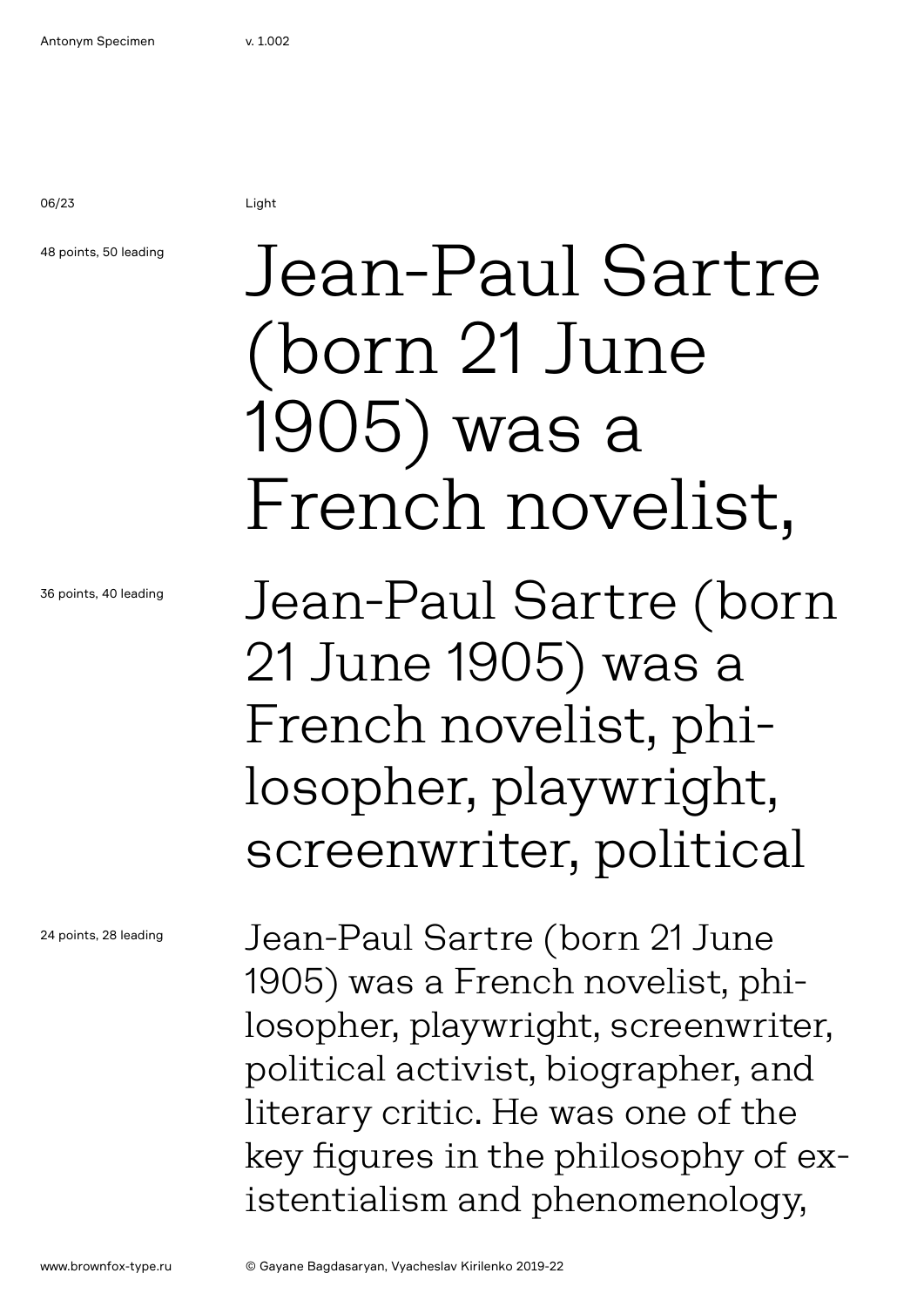## 48 points, 50 leading

36 points, 40 leading

24 points, 28 leading

## Jean-Paul Sartre (born 21 June 1905) was a French novelist,

Jean-Paul Sartre (born 21 June 1905) was a French novelist, philosopher, playwright, screenwriter, political

Jean-Paul Sartre (born 21 June 1905) was a French novelist, philosopher, playwright, screenwriter, political activist, biographer, and literary critic. He was one of the key figures in the philosophy of existentialism and phenomenology,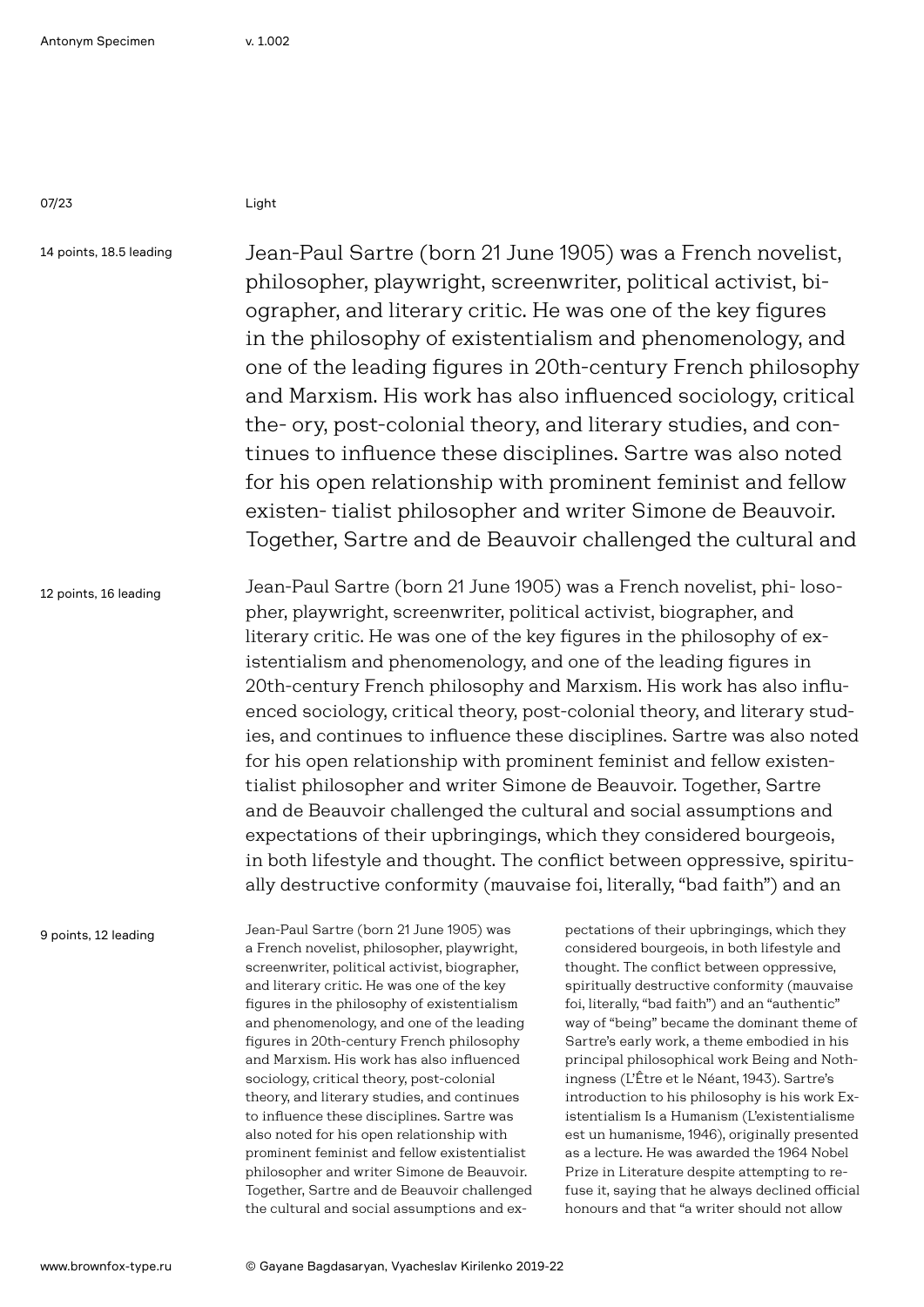14 points, 18.5 leading

Jean-Paul Sartre (born 21 June 1905) was a French novelist, philosopher, playwright, screenwriter, political activist, biographer, and literary critic. He was one of the key figures in the philosophy of existentialism and phenomenology, and one of the leading figures in 20th-century French philosophy and Marxism. His work has also influenced sociology, critical the- ory, post-colonial theory, and literary studies, and continues to influence these disciplines. Sartre was also noted for his open relationship with prominent feminist and fellow existen- tialist philosopher and writer Simone de Beauvoir. Together, Sartre and de Beauvoir challenged the cultural and

12 points, 16 leading

Jean-Paul Sartre (born 21 June 1905) was a French novelist, phi- losopher, playwright, screenwriter, political activist, biographer, and literary critic. He was one of the key figures in the philosophy of existentialism and phenomenology, and one of the leading figures in 20th-century French philosophy and Marxism. His work has also influenced sociology, critical theory, post-colonial theory, and literary studies, and continues to influence these disciplines. Sartre was also noted for his open relationship with prominent feminist and fellow existentialist philosopher and writer Simone de Beauvoir. Together, Sartre and de Beauvoir challenged the cultural and social assumptions and expectations of their upbringings, which they considered bourgeois, in both lifestyle and thought. The conflict between oppressive, spiritually destructive conformity (mauvaise foi, literally, "bad faith") and an

9 points, 12 leading

Jean-Paul Sartre (born 21 June 1905) was a French novelist, philosopher, playwright, screenwriter, political activist, biographer, and literary critic. He was one of the key figures in the philosophy of existentialism and phenomenology, and one of the leading figures in 20th-century French philosophy and Marxism. His work has also influenced sociology, critical theory, post-colonial theory, and literary studies, and continues to influence these disciplines. Sartre was also noted for his open relationship with prominent feminist and fellow existentialist philosopher and writer Simone de Beauvoir. Together, Sartre and de Beauvoir challenged the cultural and social assumptions and ex-

pectations of their upbringings, which they considered bourgeois, in both lifestyle and thought. The conflict between oppressive, spiritually destructive conformity (mauvaise foi, literally, "bad faith") and an "authentic" way of "being" became the dominant theme of Sartre's early work, a theme embodied in his principal philosophical work Being and Nothingness (L'Être et le Néant, 1943). Sartre's introduction to his philosophy is his work Existentialism Is a Humanism (L'existentialisme est un humanisme, 1946), originally presented as a lecture. He was awarded the 1964 Nobel Prize in Literature despite attempting to refuse it, saying that he always declined official honours and that "a writer should not allow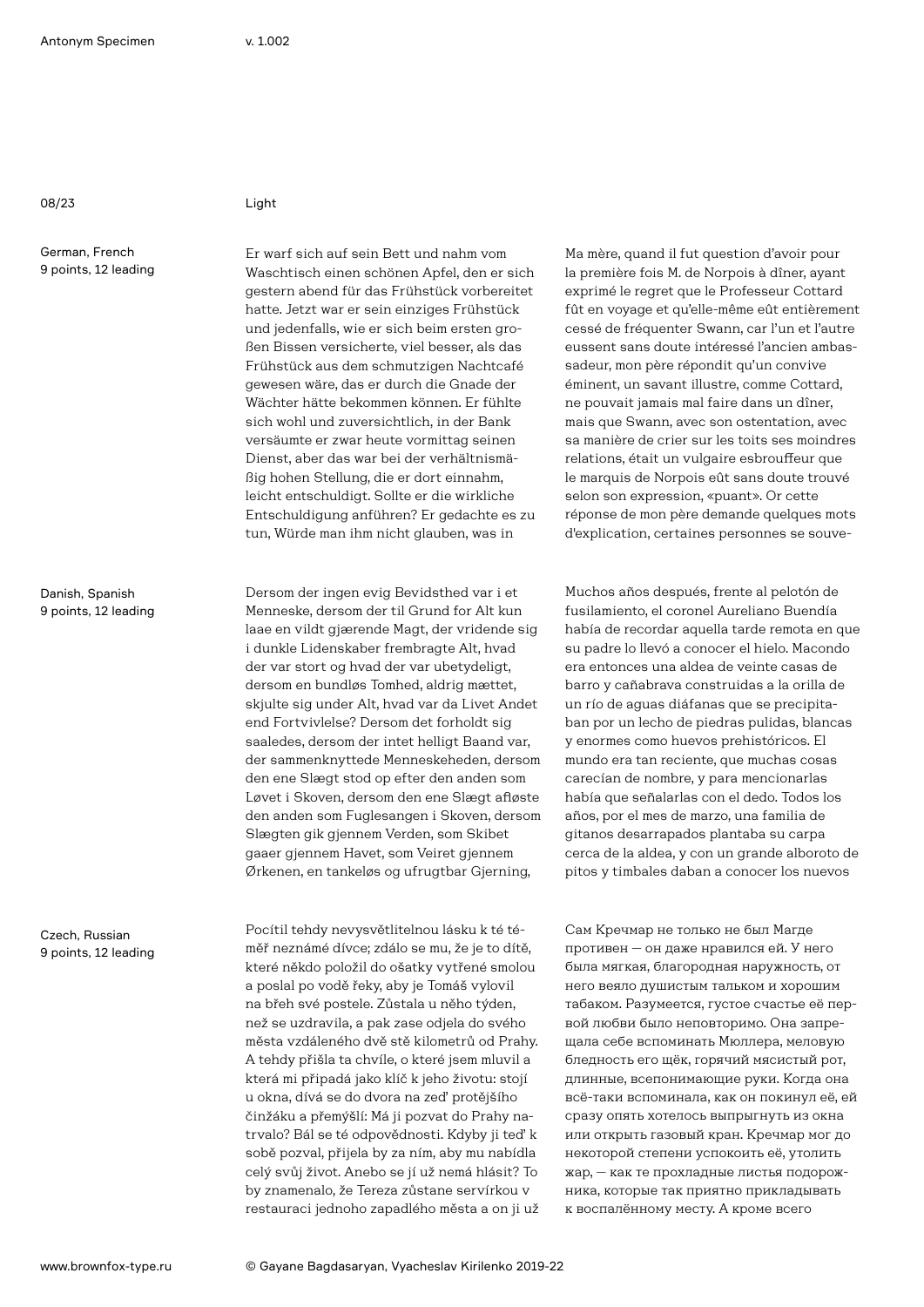German, French 9 points, 12 leading

Danish, Spanish 9 points, 12 leading

Czech, Russian 9 points, 12 leading

Er warf sich auf sein Bett und nahm vom Waschtisch einen schönen Apfel, den er sich gestern abend für das Frühstück vorbereitet hatte. Jetzt war er sein einziges Frühstück und jedenfalls, wie er sich beim ersten großen Bissen versicherte, viel besser, als das Frühstück aus dem schmutzigen Nachtcafé gewesen wäre, das er durch die Gnade der Wächter hätte bekommen können. Er fühlte sich wohl und zuversichtlich, in der Bank versäumte er zwar heute vormittag seinen Dienst, aber das war bei der verhältnismäßig hohen Stellung, die er dort einnahm, leicht entschuldigt. Sollte er die wirkliche Entschuldigung anführen? Er gedachte es zu tun, Würde man ihm nicht glauben, was in

Dersom der ingen evig Bevidsthed var i et Menneske, dersom der til Grund for Alt kun laae en vildt gjærende Magt, der vridende sig i dunkle Lidenskaber frembragte Alt, hvad der var stort og hvad der var ubetydeligt, dersom en bundløs Tomhed, aldrig mættet, skjulte sig under Alt, hvad var da Livet Andet end Fortvivlelse? Dersom det forholdt sig saaledes, dersom der intet helligt Baand var, der sammenknyttede Menneskeheden, dersom den ene Slægt stod op efter den anden som Løvet i Skoven, dersom den ene Slægt afløste den anden som Fuglesangen i Skoven, dersom Slægten gik gjennem Verden, som Skibet gaaer gjennem Havet, som Veiret gjennem Ørkenen, en tankeløs og ufrugtbar Gjerning,

Pocítil tehdy nevysvětlitelnou lásku k té téměř neznámé dívce; zdálo se mu, že je to dítě, které někdo položil do ošatky vytřené smolou a poslal po vodě řeky, aby je Tomáš vylovil na břeh své postele. Zůstala u něho týden, než se uzdravila, a pak zase odjela do svého města vzdáleného dvě stě kilometrů od Prahy. A tehdy přišla ta chvíle, o které jsem mluvil a která mi připadá jako klíč k jeho životu: stojí u okna, dívá se do dvora na zeď protějšího činžáku a přemýšlí: Má ji pozvat do Prahy natrvalo? Bál se té odpovědnosti. Kdyby ji teď k sobě pozval, přijela by za ním, aby mu nabídla celý svůj život. Anebo se jí už nemá hlásit? To by znamenalo, že Tereza zůstane servírkou v restauraci jednoho zapadlého města a on ji už

Ma mère, quand il fut question d'avoir pour la première fois M. de Norpois à dîner, ayant exprimé le regret que le Professeur Cottard fût en voyage et qu'elle-même eût entièrement cessé de fréquenter Swann, car l'un et l'autre eussent sans doute intéressé l'ancien ambassadeur, mon père répondit qu'un convive éminent, un savant illustre, comme Cottard, ne pouvait jamais mal faire dans un dîner, mais que Swann, avec son ostentation, avec sa manière de crier sur les toits ses moindres relations, était un vulgaire esbrouffeur que le marquis de Norpois eût sans doute trouvé selon son expression, «puant». Or cette réponse de mon père demande quelques mots d'explication, certaines personnes se souve-

Muchos años después, frente al pelotón de fusilamiento, el coronel Aureliano Buendía había de recordar aquella tarde remota en que su padre lo llevó a conocer el hielo. Macondo era entonces una aldea de veinte casas de barro y cañabrava construidas a la orilla de un río de aguas diáfanas que se precipitaban por un lecho de piedras pulidas, blancas y enormes como huevos prehistóricos. El mundo era tan reciente, que muchas cosas carecían de nombre, y para mencionarlas había que señalarlas con el dedo. Todos los años, por el mes de marzo, una familia de gitanos desarrapados plantaba su carpa cerca de la aldea, y con un grande alboroto de pitos y timbales daban a conocer los nuevos

Сам Кречмар не только не был Магде противен — он даже нравился ей. У него была мягкая, благородная наружность, от него веяло душистым тальком и хорошим табаком. Разумеется, густое счастье её первой любви было неповторимо. Она запрещала себе вспоминать Мюллера, меловую бледность его щёк, горячий мясистый рот, длинные, всепонимающие руки. Когда она всё-таки вспоминала, как он покинул её, ей сразу опять хотелось выпрыгнуть из окна или открыть газовый кран. Кречмар мог до некоторой степени успокоить её, утолить жар, — как те прохладные листья подорожника, которые так приятно прикладывать к воспалённому месту. А кроме всего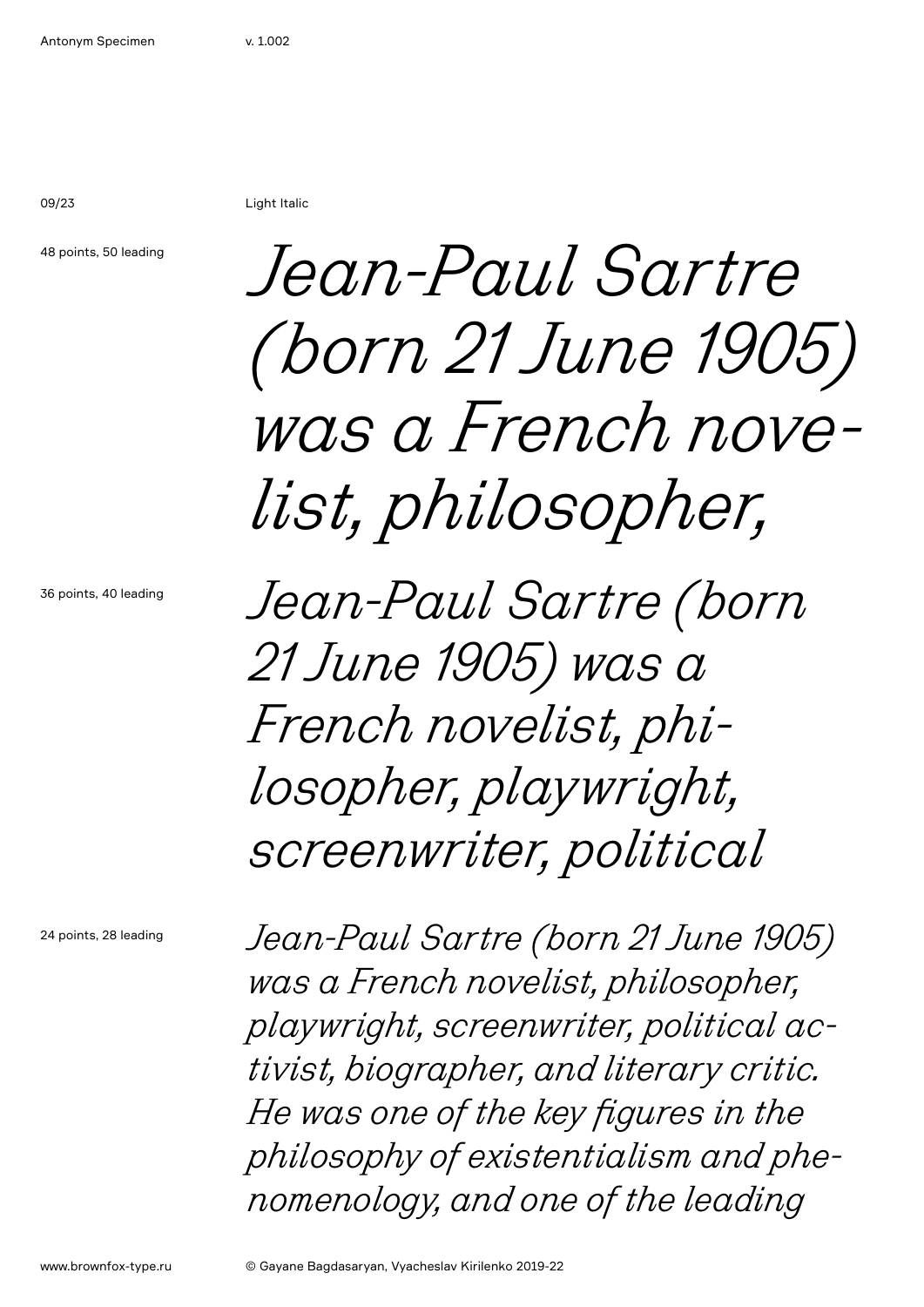09/23 Light Italic

48 points, 50 leading

*Jean-Paul Sartre (born 21 June 1905) was a French novelist, philosopher,* 

36 points, 40 leading

*Jean-Paul Sartre (born 21 June 1905) was a French novelist, philosopher, playwright, screenwriter, political*

24 points, 28 leading

*Jean-Paul Sartre (born 21 June 1905) was a French novelist, philosopher, playwright, screenwriter, political activist, biographer, and literary critic. He was one of the key figures in the philosophy of existentialism and phenomenology, and one of the leading*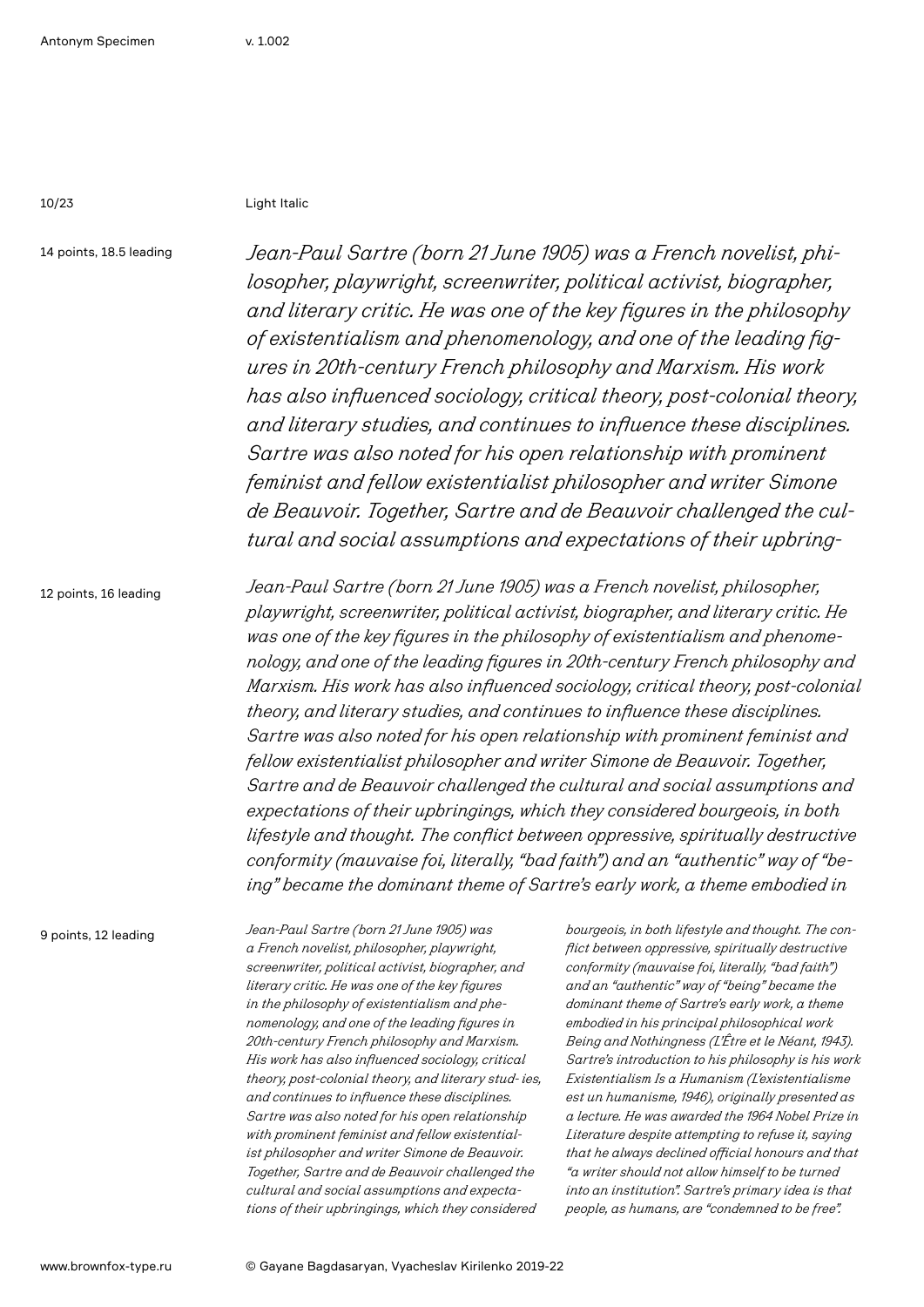10/23 Light Italic

14 points, 18.5 leading

*Jean-Paul Sartre (born 21 June 1905) was a French novelist, philosopher, playwright, screenwriter, political activist, biographer, and literary critic. He was one of the key figures in the philosophy of existentialism and phenomenology, and one of the leading figures in 20th-century French philosophy and Marxism. His work has also influenced sociology, critical theory, post-colonial theory, and literary studies, and continues to influence these disciplines. Sartre was also noted for his open relationship with prominent feminist and fellow existentialist philosopher and writer Simone de Beauvoir. Together, Sartre and de Beauvoir challenged the cultural and social assumptions and expectations of their upbring-*

12 points, 16 leading

*Jean-Paul Sartre (born 21 June 1905) was a French novelist, philosopher, playwright, screenwriter, political activist, biographer, and literary critic. He was one of the key figures in the philosophy of existentialism and phenomenology, and one of the leading figures in 20th-century French philosophy and Marxism. His work has also influenced sociology, critical theory, post-colonial theory, and literary studies, and continues to influence these disciplines. Sartre was also noted for his open relationship with prominent feminist and fellow existentialist philosopher and writer Simone de Beauvoir. Together, Sartre and de Beauvoir challenged the cultural and social assumptions and expectations of their upbringings, which they considered bourgeois, in both lifestyle and thought. The conflict between oppressive, spiritually destructive conformity (mauvaise foi, literally, "bad faith") and an "authentic" way of "being" became the dominant theme of Sartre's early work, a theme embodied in*

9 points, 12 leading

*Jean-Paul Sartre (born 21 June 1905) was a French novelist, philosopher, playwright, screenwriter, political activist, biographer, and literary critic. He was one of the key figures in the philosophy of existentialism and phenomenology, and one of the leading figures in 20th-century French philosophy and Marxism. His work has also influenced sociology, critical theory, post-colonial theory, and literary stud- ies, and continues to influence these disciplines. Sartre was also noted for his open relationship with prominent feminist and fellow existentialist philosopher and writer Simone de Beauvoir. Together, Sartre and de Beauvoir challenged the cultural and social assumptions and expectations of their upbringings, which they considered*

*bourgeois, in both lifestyle and thought. The conflict between oppressive, spiritually destructive conformity (mauvaise foi, literally, "bad faith") and an "authentic" way of "being" became the dominant theme of Sartre's early work, a theme embodied in his principal philosophical work Being and Nothingness (L'Être et le Néant, 1943). Sartre's introduction to his philosophy is his work Existentialism Is a Humanism (L'existentialisme est un humanisme, 1946), originally presented as a lecture. He was awarded the 1964 Nobel Prize in Literature despite attempting to refuse it, saying that he always declined official honours and that "a writer should not allow himself to be turned into an institution". Sartre's primary idea is that people, as humans, are "condemned to be free".*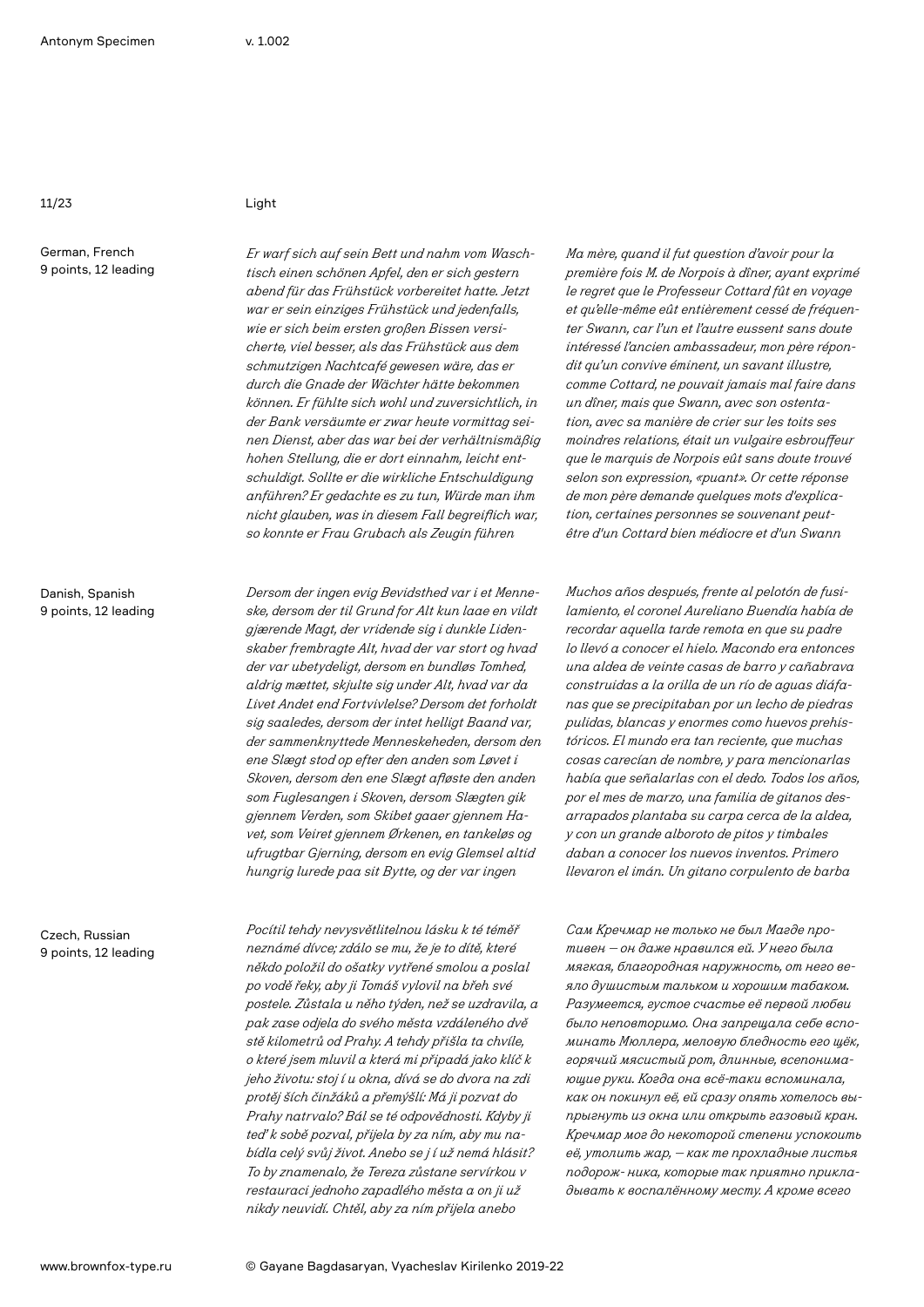German, French 9 points, 12 leading

Danish, Spanish 9 points, 12 leading

Czech, Russian 9 points, 12 leading

*Er warf sich auf sein Bett und nahm vom Waschtisch einen schönen Apfel, den er sich gestern abend für das Frühstück vorbereitet hatte. Jetzt war er sein einziges Frühstück und jedenfalls, wie er sich beim ersten großen Bissen versicherte, viel besser, als das Frühstück aus dem schmutzigen Nachtcafé gewesen wäre, das er durch die Gnade der Wächter hätte bekommen können. Er fühlte sich wohl und zuversichtlich, in der Bank versäumte er zwar heute vormittag seinen Dienst, aber das war bei der verhältnismäßig hohen Stellung, die er dort einnahm, leicht entschuldigt. Sollte er die wirkliche Entschuldigung anführen? Er gedachte es zu tun, Würde man ihm nicht glauben, was in diesem Fall begreiflich war, so konnte er Frau Grubach als Zeugin führen*

*Dersom der ingen evig Bevidsthed var i et Menneske, dersom der til Grund for Alt kun laae en vildt gjærende Magt, der vridende sig i dunkle Lidenskaber frembragte Alt, hvad der var stort og hvad der var ubetydeligt, dersom en bundløs Tomhed, aldrig mættet, skjulte sig under Alt, hvad var da Livet Andet end Fortvivlelse? Dersom det forholdt sig saaledes, dersom der intet helligt Baand var, der sammenknyttede Menneskeheden, dersom den ene Slægt stod op efter den anden som Løvet i Skoven, dersom den ene Slægt afløste den anden som Fuglesangen i Skoven, dersom Slægten gik gjennem Verden, som Skibet gaaer gjennem Havet, som Veiret gjennem Ørkenen, en tankeløs og ufrugtbar Gjerning, dersom en evig Glemsel altid hungrig lurede paa sit Bytte, og der var ingen* 

*Pocítil tehdy nevysvětlitelnou lásku k té téměř neznámé dívce; zdálo se mu, že je to dítě, které někdo položil do ošatky vytřené smolou a poslal po vodě řeky, aby ji Tomáš vylovil na břeh své postele. Zůstala u něho týden, než se uzdravila, a pak zase odjela do svého města vzdáleného dvě stě kilometrů od Prahy. A tehdy přišla ta chvíle, o které jsem mluvil a která mi připadá jako klíč k jeho životu: stoj í u okna, dívá se do dvora na zdi protěj ších činžáků a přemýšlí: Má ji pozvat do Prahy natrvalo? Bál se té odpovědnosti. Kdyby ji teď k sobě pozval, přijela by za ním, aby mu nabídla celý svůj život. Anebo se j í už nemá hlásit? To by znamenalo, že Tereza zůstane servírkou v restauraci jednoho zapadlého města a on ji už nikdy neuvidí. Chtěl, aby za ním přijela anebo*

*Ma mère, quand il fut question d'avoir pour la première fois M. de Norpois à dîner, ayant exprimé le regret que le Professeur Cottard fût en voyage et qu'elle-même eût entièrement cessé de fréquenter Swann, car l'un et l'autre eussent sans doute intéressé l'ancien ambassadeur, mon père répondit qu'un convive éminent, un savant illustre, comme Cottard, ne pouvait jamais mal faire dans un dîner, mais que Swann, avec son ostentation, avec sa manière de crier sur les toits ses moindres relations, était un vulgaire esbrouffeur que le marquis de Norpois eût sans doute trouvé selon son expression, «puant». Or cette réponse de mon père demande quelques mots d'explication, certaines personnes se souvenant peutêtre d'un Cottard bien médiocre et d'un Swann* 

*Muchos años después, frente al pelotón de fusilamiento, el coronel Aureliano Buendía había de recordar aquella tarde remota en que su padre lo llevó a conocer el hielo. Macondo era entonces una aldea de veinte casas de barro y cañabrava construidas a la orilla de un río de aguas diáfanas que se precipitaban por un lecho de piedras pulidas, blancas y enormes como huevos prehistóricos. El mundo era tan reciente, que muchas cosas carecían de nombre, y para mencionarlas había que señalarlas con el dedo. Todos los años, por el mes de marzo, una familia de gitanos desarrapados plantaba su carpa cerca de la aldea, y con un grande alboroto de pitos y timbales daban a conocer los nuevos inventos. Primero llevaron el imán. Un gitano corpulento de barba* 

*Сам Кречмар не только не был Магде противен — он даже нравился ей. У него была мягкая, благородная наружность, от него веяло душистым тальком и хорошим табаком. Разумеется, густое счастье её первой любви было неповторимо. Она запрещала себе вспоминать Мюллера, меловую бледность его щёк, горячий мясистый рот, длинные, всепонимающие руки. Когда она всё-таки вспоминала, как он покинул её, ей сразу опять хотелось выпрыгнуть из окна или открыть газовый кран. Кречмар мог до некоторой степени успокоить её, утолить жар, — как те прохладные листья подорож- ника, которые так приятно прикладывать к воспалённому месту. А кроме всего*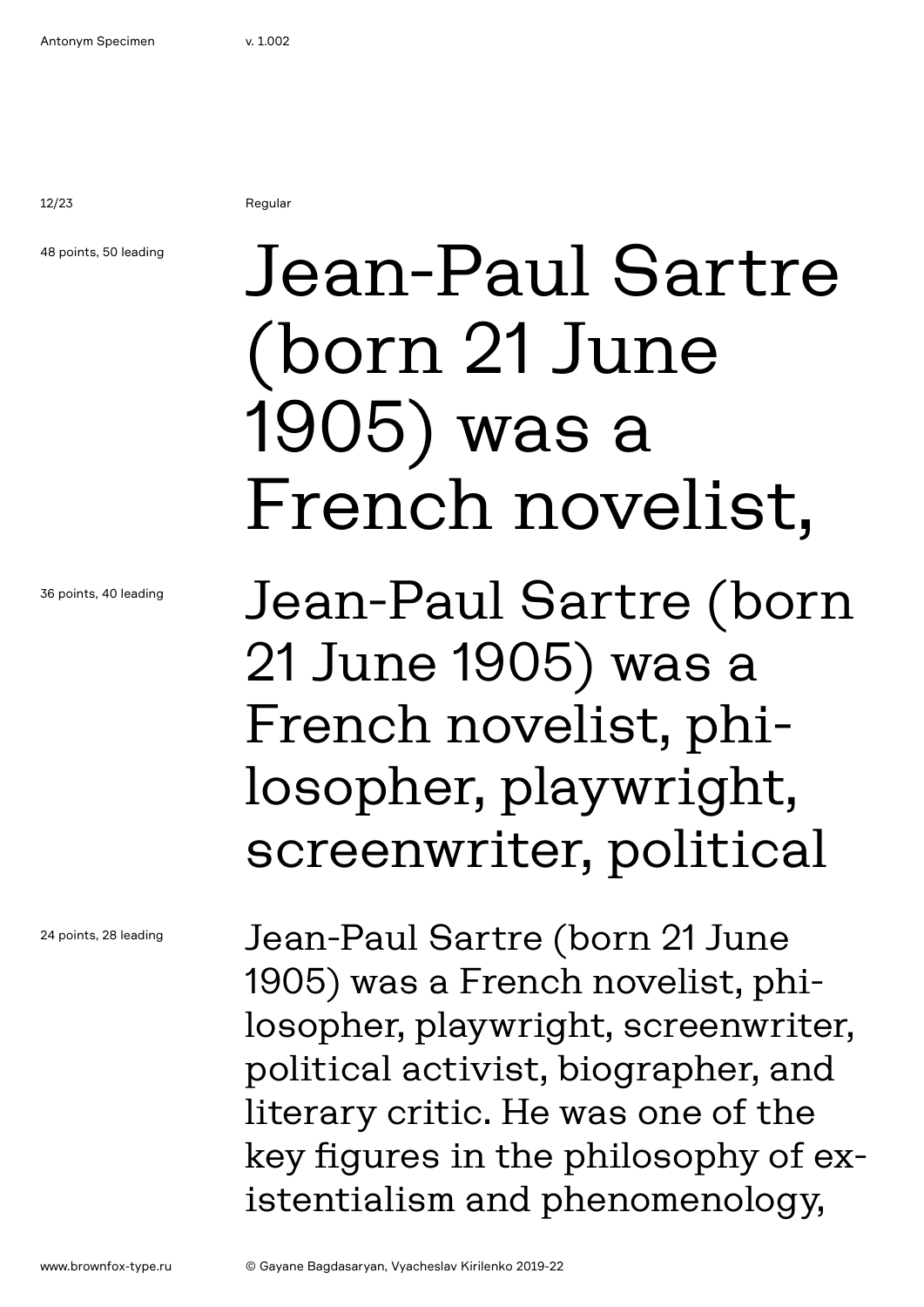12/23 Regular

## 48 points, 50 leading

Jean-Paul Sartre (born 21 June 1905) was a French novelist,

Jean-Paul Sartre (born 21 June 1905) was a French novelist, philosopher, playwright, screenwriter, political

Jean-Paul Sartre (born 21 June 1905) was a French novelist, philosopher, playwright, screenwriter, political activist, biographer, and literary critic. He was one of the key figures in the philosophy of existentialism and phenomenology,

36 points, 40 leading

24 points, 28 leading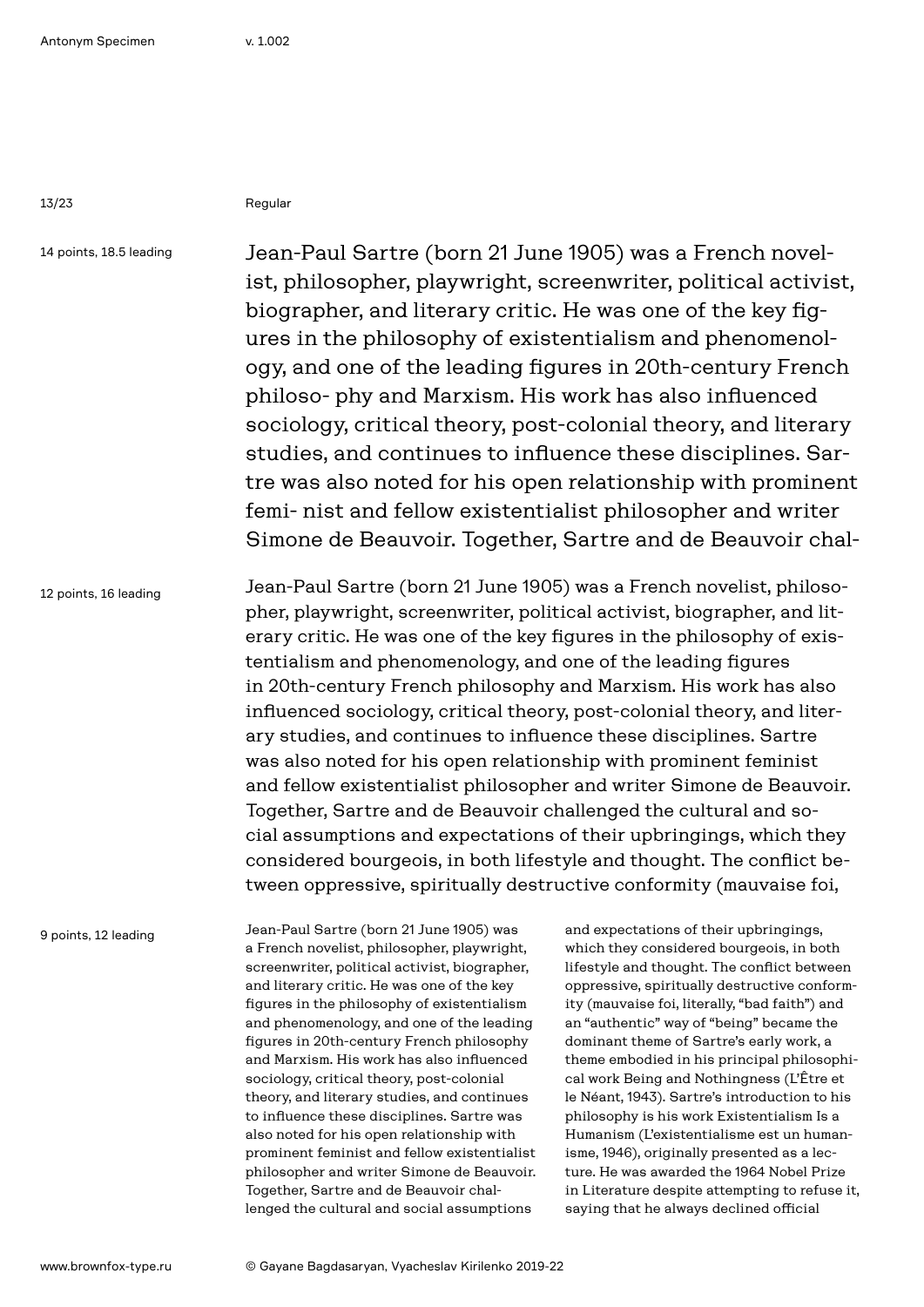13/23 Regular

14 points, 18.5 leading

Jean-Paul Sartre (born 21 June 1905) was a French novelist, philosopher, playwright, screenwriter, political activist, biographer, and literary critic. He was one of the key figures in the philosophy of existentialism and phenomenology, and one of the leading figures in 20th-century French philoso- phy and Marxism. His work has also influenced sociology, critical theory, post-colonial theory, and literary studies, and continues to influence these disciplines. Sartre was also noted for his open relationship with prominent femi- nist and fellow existentialist philosopher and writer Simone de Beauvoir. Together, Sartre and de Beauvoir chal-

12 points, 16 leading

Jean-Paul Sartre (born 21 June 1905) was a French novelist, philosopher, playwright, screenwriter, political activist, biographer, and literary critic. He was one of the key figures in the philosophy of existentialism and phenomenology, and one of the leading figures in 20th-century French philosophy and Marxism. His work has also influenced sociology, critical theory, post-colonial theory, and literary studies, and continues to influence these disciplines. Sartre was also noted for his open relationship with prominent feminist and fellow existentialist philosopher and writer Simone de Beauvoir. Together, Sartre and de Beauvoir challenged the cultural and social assumptions and expectations of their upbringings, which they considered bourgeois, in both lifestyle and thought. The conflict between oppressive, spiritually destructive conformity (mauvaise foi,

9 points, 12 leading

Jean-Paul Sartre (born 21 June 1905) was a French novelist, philosopher, playwright, screenwriter, political activist, biographer, and literary critic. He was one of the key figures in the philosophy of existentialism and phenomenology, and one of the leading figures in 20th-century French philosophy and Marxism. His work has also influenced sociology, critical theory, post-colonial theory, and literary studies, and continues to influence these disciplines. Sartre was also noted for his open relationship with prominent feminist and fellow existentialist philosopher and writer Simone de Beauvoir. Together, Sartre and de Beauvoir challenged the cultural and social assumptions

and expectations of their upbringings, which they considered bourgeois, in both lifestyle and thought. The conflict between oppressive, spiritually destructive conformity (mauvaise foi, literally, "bad faith") and an "authentic" way of "being" became the dominant theme of Sartre's early work, a theme embodied in his principal philosophical work Being and Nothingness (L'Être et le Néant, 1943). Sartre's introduction to his philosophy is his work Existentialism Is a Humanism (L'existentialisme est un humanisme, 1946), originally presented as a lecture. He was awarded the 1964 Nobel Prize in Literature despite attempting to refuse it, saying that he always declined official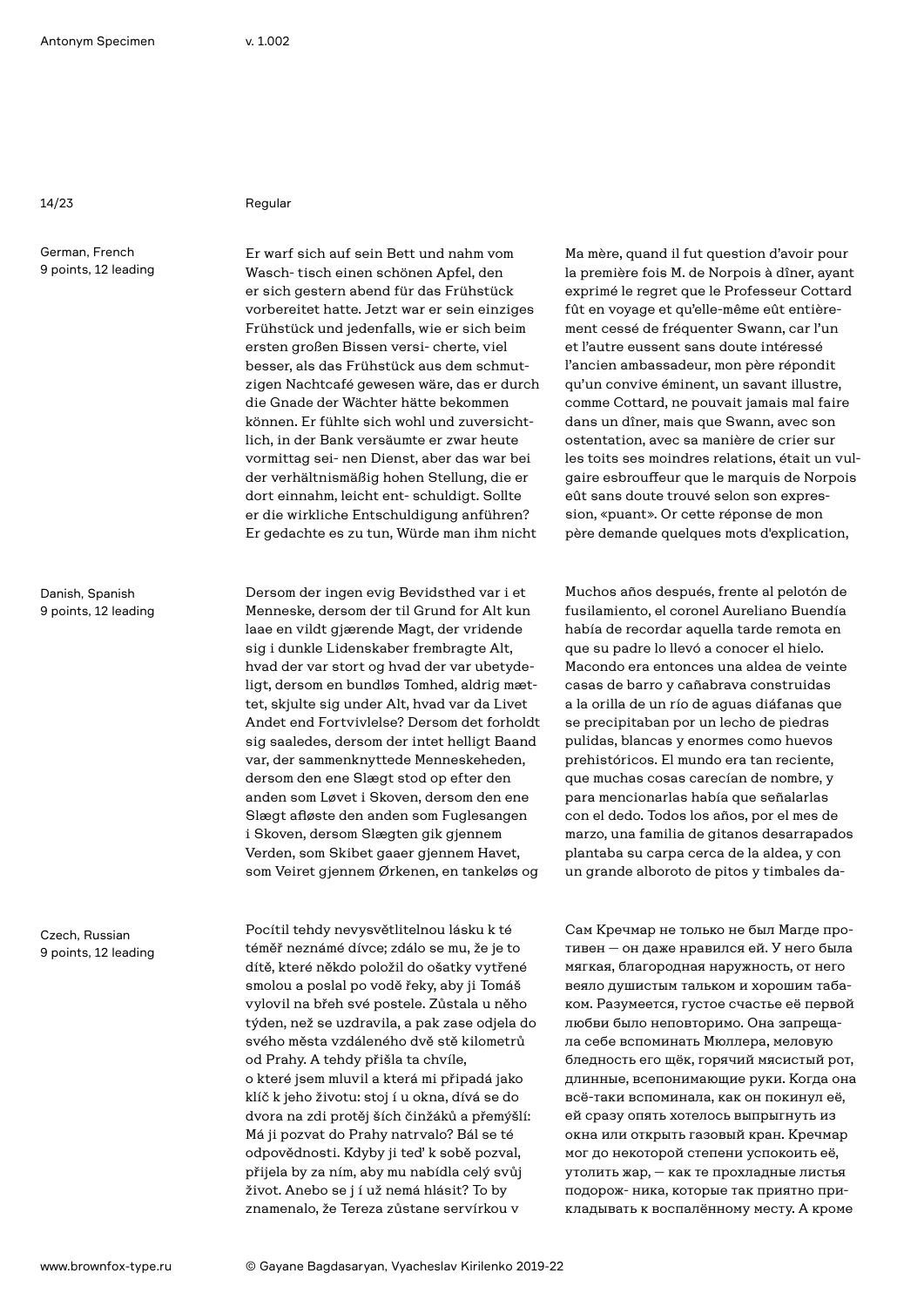14/23 Regular

German, French 9 points, 12 leading

Danish, Spanish 9 points, 12 leading

Czech, Russian 9 points, 12 leading

Er warf sich auf sein Bett und nahm vom Wasch- tisch einen schönen Apfel, den er sich gestern abend für das Frühstück vorbereitet hatte. Jetzt war er sein einziges Frühstück und jedenfalls, wie er sich beim ersten großen Bissen versi- cherte, viel besser, als das Frühstück aus dem schmutzigen Nachtcafé gewesen wäre, das er durch die Gnade der Wächter hätte bekommen können. Er fühlte sich wohl und zuversichtlich, in der Bank versäumte er zwar heute vormittag sei- nen Dienst, aber das war bei der verhältnismäßig hohen Stellung, die er dort einnahm, leicht ent- schuldigt. Sollte er die wirkliche Entschuldigung anführen? Er gedachte es zu tun, Würde man ihm nicht

Dersom der ingen evig Bevidsthed var i et Menneske, dersom der til Grund for Alt kun laae en vildt gjærende Magt, der vridende sig i dunkle Lidenskaber frembragte Alt, hvad der var stort og hvad der var ubetydeligt, dersom en bundløs Tomhed, aldrig mættet, skjulte sig under Alt, hvad var da Livet Andet end Fortvivlelse? Dersom det forholdt sig saaledes, dersom der intet helligt Baand var, der sammenknyttede Menneskeheden, dersom den ene Slægt stod op efter den anden som Løvet i Skoven, dersom den ene Slægt afløste den anden som Fuglesangen i Skoven, dersom Slægten gik gjennem Verden, som Skibet gaaer gjennem Havet, som Veiret gjennem Ørkenen, en tankeløs og

Pocítil tehdy nevysvětlitelnou lásku k té téměř neznámé dívce; zdálo se mu, že je to dítě, které někdo položil do ošatky vytřené smolou a poslal po vodě řeky, aby ji Tomáš vylovil na břeh své postele. Zůstala u něho týden, než se uzdravila, a pak zase odjela do svého města vzdáleného dvě stě kilometrů od Prahy. A tehdy přišla ta chvíle, o které jsem mluvil a která mi připadá jako klíč k jeho životu: stoj í u okna, dívá se do dvora na zdi protěj ších činžáků a přemýšlí: Má ji pozvat do Prahy natrvalo? Bál se té odpovědnosti. Kdyby ji teď k sobě pozval, přijela by za ním, aby mu nabídla celý svůj život. Anebo se j í už nemá hlásit? To by znamenalo, že Tereza zůstane servírkou v

Ma mère, quand il fut question d'avoir pour la première fois M. de Norpois à dîner, ayant exprimé le regret que le Professeur Cottard fût en voyage et qu'elle-même eût entièrement cessé de fréquenter Swann, car l'un et l'autre eussent sans doute intéressé l'ancien ambassadeur, mon père répondit qu'un convive éminent, un savant illustre, comme Cottard, ne pouvait jamais mal faire dans un dîner, mais que Swann, avec son ostentation, avec sa manière de crier sur les toits ses moindres relations, était un vulgaire esbrouffeur que le marquis de Norpois eût sans doute trouvé selon son expression, «puant». Or cette réponse de mon père demande quelques mots d'explication,

Muchos años después, frente al pelotón de fusilamiento, el coronel Aureliano Buendía había de recordar aquella tarde remota en que su padre lo llevó a conocer el hielo. Macondo era entonces una aldea de veinte casas de barro y cañabrava construidas a la orilla de un río de aguas diáfanas que se precipitaban por un lecho de piedras pulidas, blancas y enormes como huevos prehistóricos. El mundo era tan reciente, que muchas cosas carecían de nombre, y para mencionarlas había que señalarlas con el dedo. Todos los años, por el mes de marzo, una familia de gitanos desarrapados plantaba su carpa cerca de la aldea, y con un grande alboroto de pitos y timbales da-

Сам Кречмар не только не был Магде противен — он даже нравился ей. У него была мягкая, благородная наружность, от него веяло душистым тальком и хорошим табаком. Разумеется, густое счастье её первой любви было неповторимо. Она запрещала себе вспоминать Мюллера, меловую бледность его щёк, горячий мясистый рот, длинные, всепонимающие руки. Когда она всё-таки вспоминала, как он покинул её, ей сразу опять хотелось выпрыгнуть из окна или открыть газовый кран. Кречмар мог до некоторой степени успокоить её, утолить жар, — как те прохладные листья подорож- ника, которые так приятно прикладывать к воспалённому месту. А кроме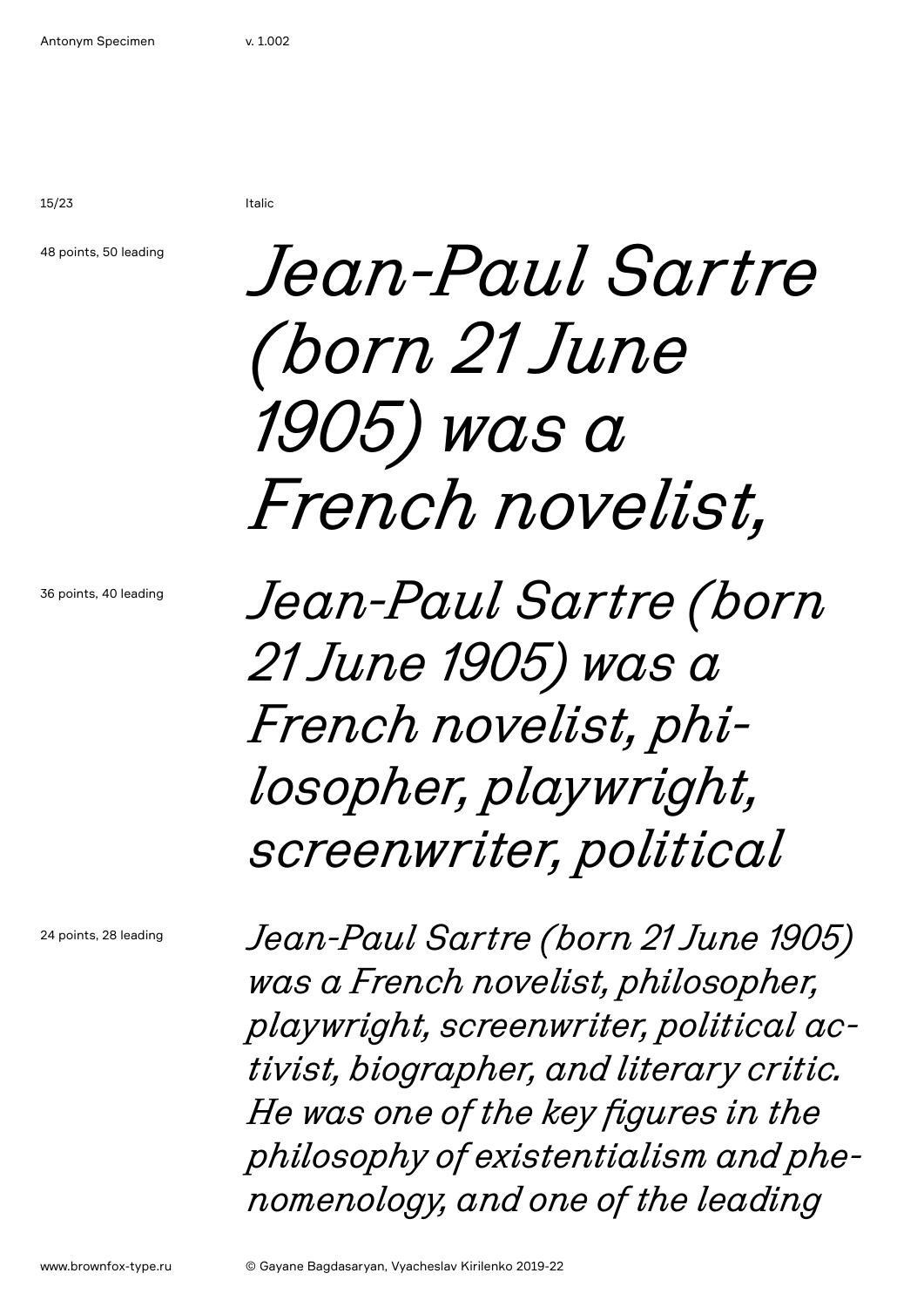15/23 Italic

48 points, 50 leading

## *Jean-Paul Sartre (born 21 June 1905) was a French novelist,*

36 points, 40 leading

*Jean-Paul Sartre (born 21 June 1905) was a French novelist, philosopher, playwright, screenwriter, political*

24 points, 28 leading

*Jean-Paul Sartre (born 21 June 1905) was a French novelist, philosopher, playwright, screenwriter, political activist, biographer, and literary critic. He was one of the key figures in the philosophy of existentialism and phenomenology, and one of the leading*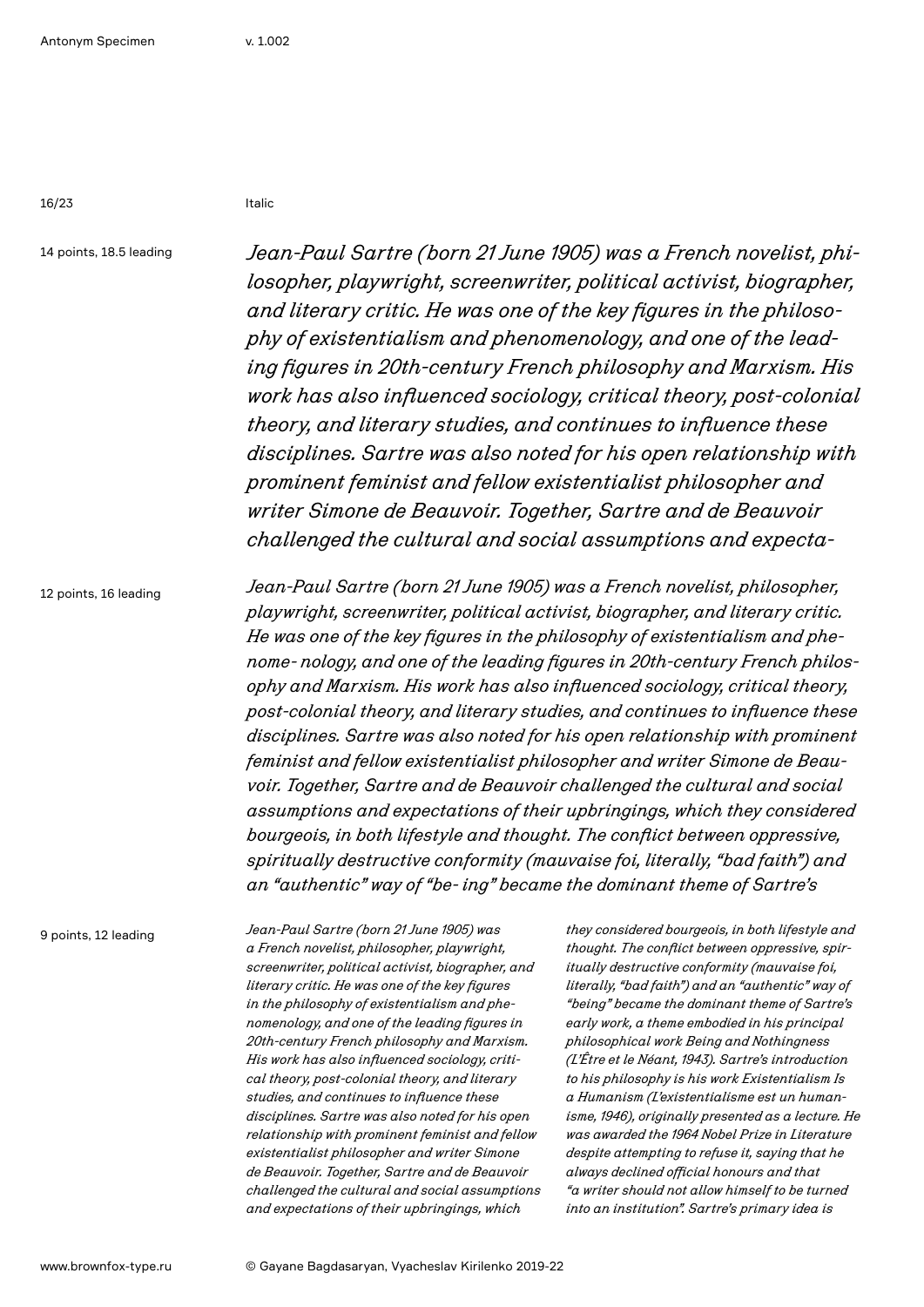16/23 Italic

14 points, 18.5 leading

*Jean-Paul Sartre (born 21 June 1905) was a French novelist, philosopher, playwright, screenwriter, political activist, biographer, and literary critic. He was one of the key figures in the philosophy of existentialism and phenomenology, and one of the leading figures in 20th-century French philosophy and Marxism. His work has also influenced sociology, critical theory, post-colonial theory, and literary studies, and continues to influence these disciplines. Sartre was also noted for his open relationship with prominent feminist and fellow existentialist philosopher and writer Simone de Beauvoir. Together, Sartre and de Beauvoir challenged the cultural and social assumptions and expecta-*

12 points, 16 leading

*Jean-Paul Sartre (born 21 June 1905) was a French novelist, philosopher, playwright, screenwriter, political activist, biographer, and literary critic. He was one of the key figures in the philosophy of existentialism and phenome- nology, and one of the leading figures in 20th-century French philosophy and Marxism. His work has also influenced sociology, critical theory, post-colonial theory, and literary studies, and continues to influence these disciplines. Sartre was also noted for his open relationship with prominent feminist and fellow existentialist philosopher and writer Simone de Beauvoir. Together, Sartre and de Beauvoir challenged the cultural and social assumptions and expectations of their upbringings, which they considered bourgeois, in both lifestyle and thought. The conflict between oppressive, spiritually destructive conformity (mauvaise foi, literally, "bad faith") and an "authentic" way of "be- ing" became the dominant theme of Sartre's* 

9 points, 12 leading

*Jean-Paul Sartre (born 21 June 1905) was a French novelist, philosopher, playwright, screenwriter, political activist, biographer, and literary critic. He was one of the key figures in the philosophy of existentialism and phenomenology, and one of the leading figures in 20th-century French philosophy and Marxism. His work has also influenced sociology, critical theory, post-colonial theory, and literary studies, and continues to influence these disciplines. Sartre was also noted for his open relationship with prominent feminist and fellow existentialist philosopher and writer Simone de Beauvoir. Together, Sartre and de Beauvoir challenged the cultural and social assumptions and expectations of their upbringings, which*

*they considered bourgeois, in both lifestyle and thought. The conflict between oppressive, spiritually destructive conformity (mauvaise foi, literally, "bad faith") and an "authentic" way of "being" became the dominant theme of Sartre's early work, a theme embodied in his principal philosophical work Being and Nothingness (L'Être et le Néant, 1943). Sartre's introduction to his philosophy is his work Existentialism Is a Humanism (L'existentialisme est un humanisme, 1946), originally presented as a lecture. He was awarded the 1964 Nobel Prize in Literature despite attempting to refuse it, saying that he always declined official honours and that "a writer should not allow himself to be turned into an institution". Sartre's primary idea is*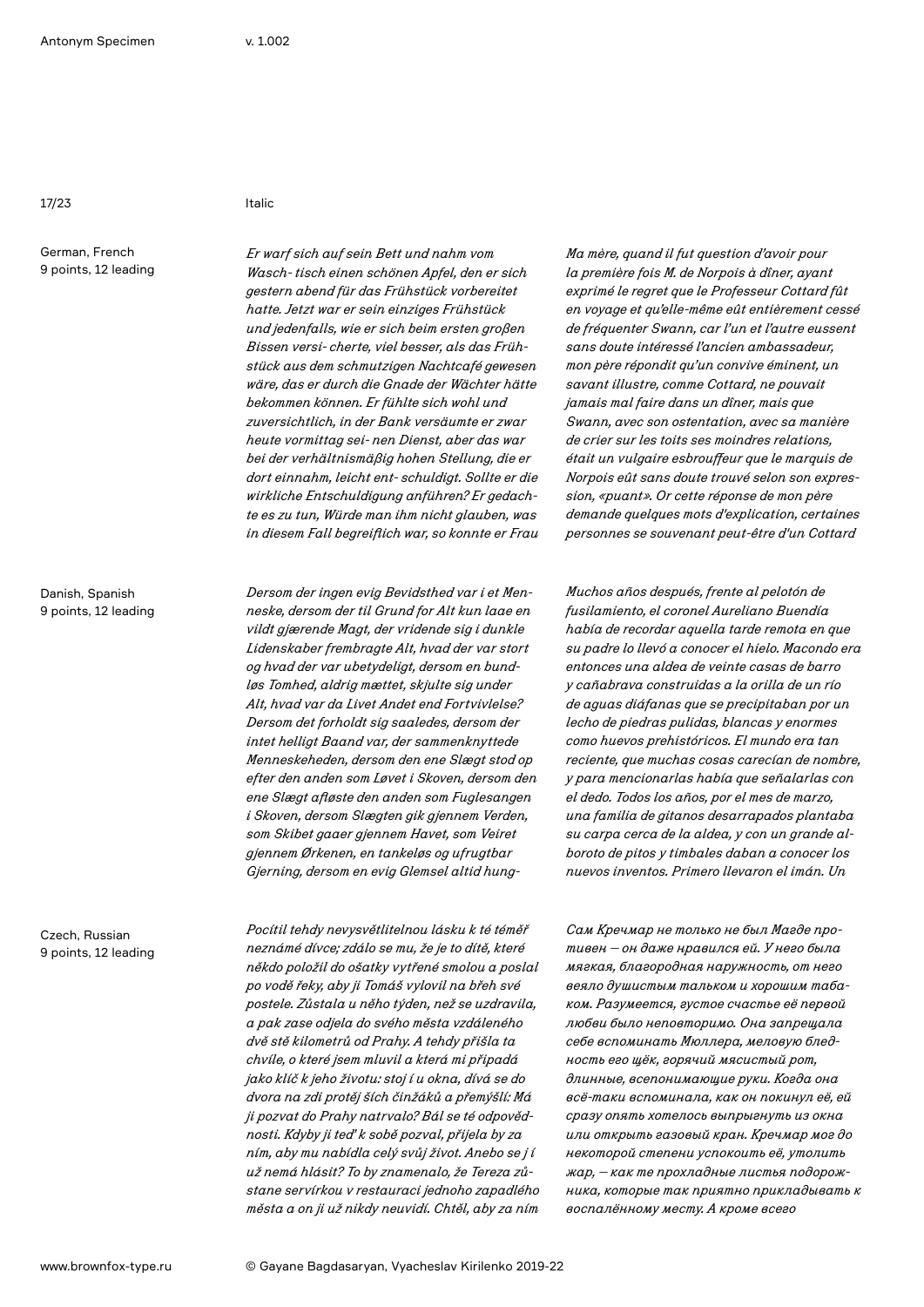17/23 Italic

German, French 9 points, 12 leading

Danish, Spanish 9 points, 12 leading

Czech, Russian 9 points, 12 leading

*Er warf sich auf sein Bett und nahm vom Wasch- tisch einen schönen Apfel, den er sich gestern abend für das Frühstück vorbereitet hatte. Jetzt war er sein einziges Frühstück und jedenfalls, wie er sich beim ersten großen Bissen versi- cherte, viel besser, als das Frühstück aus dem schmutzigen Nachtcafé gewesen wäre, das er durch die Gnade der Wächter hätte bekommen können. Er fühlte sich wohl und zuversichtlich, in der Bank versäumte er zwar heute vormittag sei- nen Dienst, aber das war bei der verhältnismäßig hohen Stellung, die er dort einnahm, leicht ent- schuldigt. Sollte er die wirkliche Entschuldigung anführen? Er gedachte es zu tun, Würde man ihm nicht glauben, was in diesem Fall begreiflich war, so konnte er Frau* 

*Dersom der ingen evig Bevidsthed var i et Menneske, dersom der til Grund for Alt kun laae en vildt gjærende Magt, der vridende sig i dunkle Lidenskaber frembragte Alt, hvad der var stort og hvad der var ubetydeligt, dersom en bundløs Tomhed, aldrig mættet, skjulte sig under Alt, hvad var da Livet Andet end Fortvivlelse? Dersom det forholdt sig saaledes, dersom der intet helligt Baand var, der sammenknyttede Menneskeheden, dersom den ene Slægt stod op efter den anden som Løvet i Skoven, dersom den ene Slægt afløste den anden som Fuglesangen i Skoven, dersom Slægten gik gjennem Verden, som Skibet gaaer gjennem Havet, som Veiret gjennem Ørkenen, en tankeløs og ufrugtbar Gjerning, dersom en evig Glemsel altid hung-*

*Pocítil tehdy nevysvětlitelnou lásku k té téměř neznámé dívce; zdálo se mu, že je to dítě, které někdo položil do ošatky vytřené smolou a poslal po vodě řeky, aby ji Tomáš vylovil na břeh své postele. Zůstala u něho týden, než se uzdravila, a pak zase odjela do svého města vzdáleného dvě stě kilometrů od Prahy. A tehdy přišla ta chvíle, o které jsem mluvil a která mi připadá jako klíč k jeho životu: stoj í u okna, dívá se do dvora na zdi protěj ších činžáků a přemýšlí: Má ji pozvat do Prahy natrvalo? Bál se té odpovědnosti. Kdyby ji teď k sobě pozval, přijela by za ním, aby mu nabídla celý svůj život. Anebo se j í už nemá hlásit? To by znamenalo, že Tereza zůstane servírkou v restauraci jednoho zapadlého města a on ji už nikdy neuvidí. Chtěl, aby za ním*

*Ma mère, quand il fut question d'avoir pour la première fois M. de Norpois à dîner, ayant exprimé le regret que le Professeur Cottard fût en voyage et qu'elle-même eût entièrement cessé de fréquenter Swann, car l'un et l'autre eussent sans doute intéressé l'ancien ambassadeur, mon père répondit qu'un convive éminent, un savant illustre, comme Cottard, ne pouvait jamais mal faire dans un dîner, mais que Swann, avec son ostentation, avec sa manière de crier sur les toits ses moindres relations, était un vulgaire esbrouffeur que le marquis de Norpois eût sans doute trouvé selon son expression, «puant». Or cette réponse de mon père demande quelques mots d'explication, certaines personnes se souvenant peut-être d'un Cottard* 

*Muchos años después, frente al pelotón de fusilamiento, el coronel Aureliano Buendía había de recordar aquella tarde remota en que su padre lo llevó a conocer el hielo. Macondo era entonces una aldea de veinte casas de barro y cañabrava construidas a la orilla de un río de aguas diáfanas que se precipitaban por un lecho de piedras pulidas, blancas y enormes como huevos prehistóricos. El mundo era tan reciente, que muchas cosas carecían de nombre, y para mencionarlas había que señalarlas con el dedo. Todos los años, por el mes de marzo, una familia de gitanos desarrapados plantaba su carpa cerca de la aldea, y con un grande alboroto de pitos y timbales daban a conocer los nuevos inventos. Primero llevaron el imán. Un* 

*Сам Кречмар не только не был Магде противен — он даже нравился ей. У него была мягкая, благородная наружность, от него веяло душистым тальком и хорошим табаком. Разумеется, густое счастье её первой любви было неповторимо. Она запрещала себе вспоминать Мюллера, меловую бледность его щёк, горячий мясистый рот, длинные, всепонимающие руки. Когда она всё-таки вспоминала, как он покинул её, ей сразу опять хотелось выпрыгнуть из окна или открыть газовый кран. Кречмар мог до некоторой степени успокоить её, утолить жар, — как те прохладные листья подорожника, которые так приятно прикладывать к воспалённому месту. А кроме всего*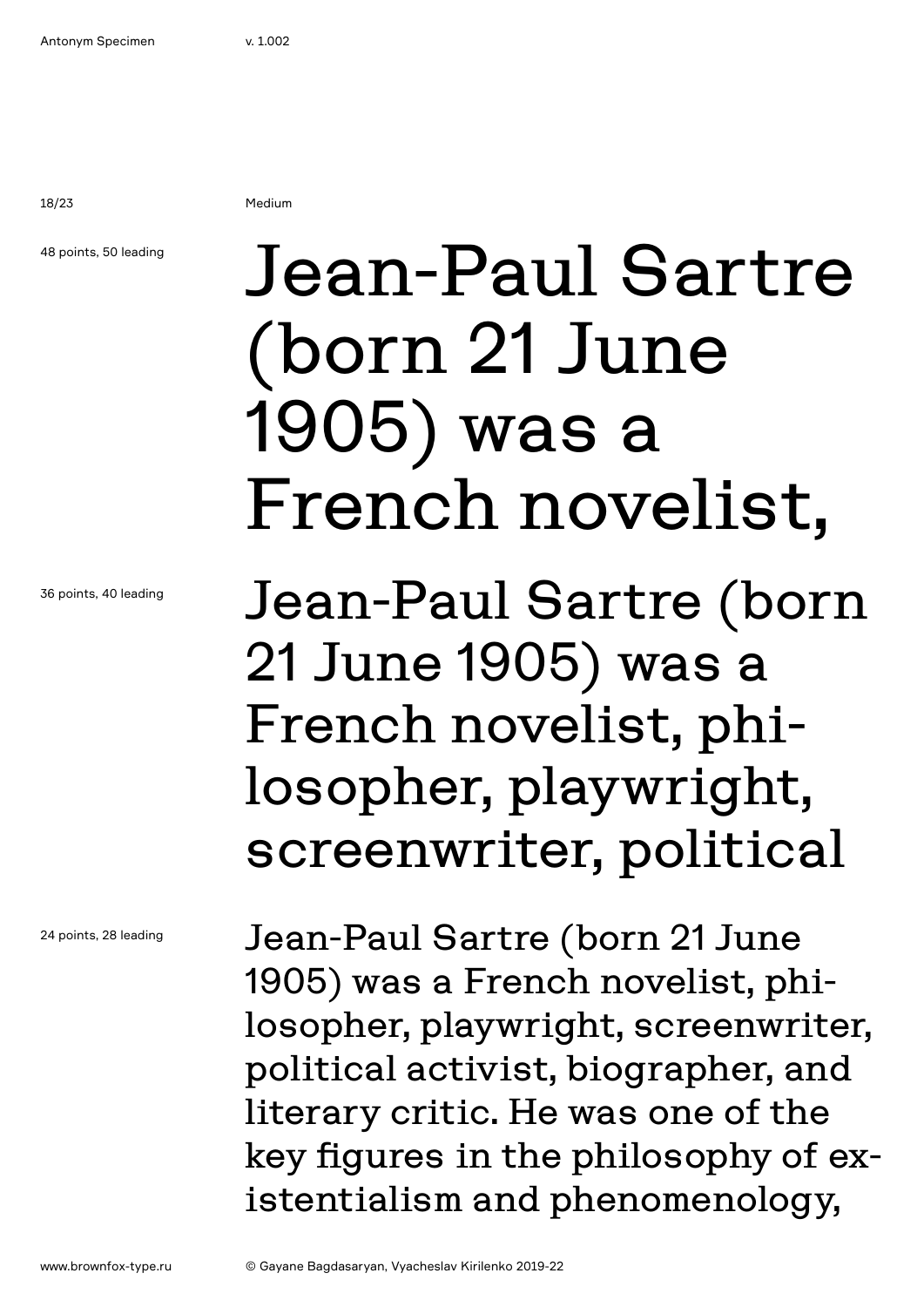18/23 Medium

## 48 points, 50 leading

Jean-Paul Sartre (born 21 June 1905) was a French novelist,

Jean-Paul Sartre (born 21 June 1905) was a French novelist, philosopher, playwright, screenwriter, political

Jean-Paul Sartre (born 21 June 1905) was a French novelist, philosopher, playwright, screenwriter, political activist, biographer, and literary critic. He was one of the key figures in the philosophy of existentialism and phenomenology,

24 points, 28 leading

36 points, 40 leading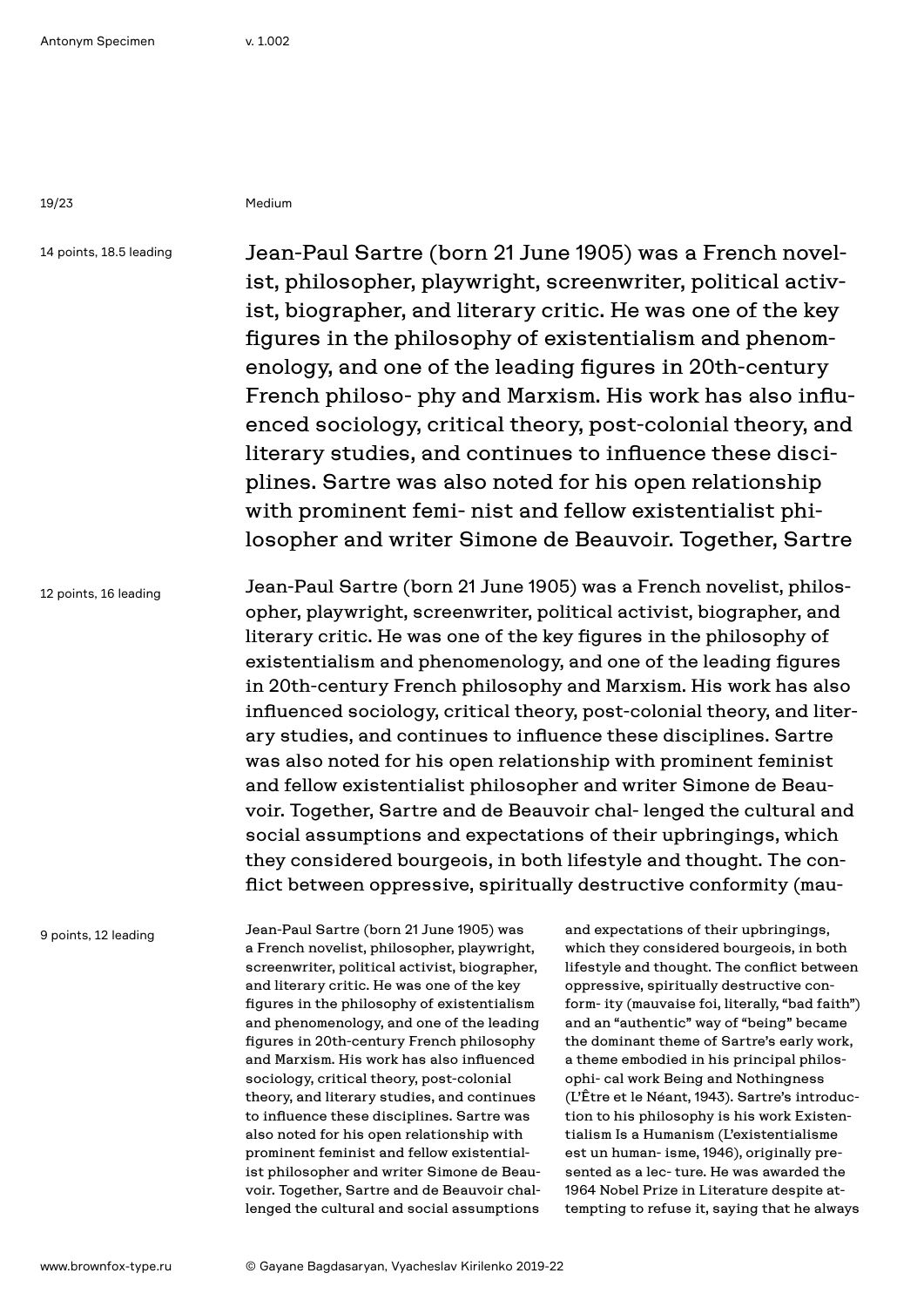19/23 Medium

14 points, 18.5 leading

Jean-Paul Sartre (born 21 June 1905) was a French novelist, philosopher, playwright, screenwriter, political activist, biographer, and literary critic. He was one of the key figures in the philosophy of existentialism and phenomenology, and one of the leading figures in 20th-century French philoso- phy and Marxism. His work has also influenced sociology, critical theory, post-colonial theory, and literary studies, and continues to influence these disciplines. Sartre was also noted for his open relationship with prominent femi- nist and fellow existentialist philosopher and writer Simone de Beauvoir. Together, Sartre

12 points, 16 leading Jean-Paul Sartre (born 21 June 1905) was a French novelist, philosopher, playwright, screenwriter, political activist, biographer, and literary critic. He was one of the key figures in the philosophy of existentialism and phenomenology, and one of the leading figures in 20th-century French philosophy and Marxism. His work has also influenced sociology, critical theory, post-colonial theory, and literary studies, and continues to influence these disciplines. Sartre was also noted for his open relationship with prominent feminist and fellow existentialist philosopher and writer Simone de Beauvoir. Together, Sartre and de Beauvoir chal- lenged the cultural and social assumptions and expectations of their upbringings, which they considered bourgeois, in both lifestyle and thought. The conflict between oppressive, spiritually destructive conformity (mau-

9 points, 12 leading

Jean-Paul Sartre (born 21 June 1905) was a French novelist, philosopher, playwright, screenwriter, political activist, biographer, and literary critic. He was one of the key figures in the philosophy of existentialism and phenomenology, and one of the leading figures in 20th-century French philosophy and Marxism. His work has also influenced sociology, critical theory, post-colonial theory, and literary studies, and continues to influence these disciplines. Sartre was also noted for his open relationship with prominent feminist and fellow existentialist philosopher and writer Simone de Beauvoir. Together, Sartre and de Beauvoir challenged the cultural and social assumptions

and expectations of their upbringings, which they considered bourgeois, in both lifestyle and thought. The conflict between oppressive, spiritually destructive conform- ity (mauvaise foi, literally, "bad faith") and an "authentic" way of "being" became the dominant theme of Sartre's early work, a theme embodied in his principal philosophi- cal work Being and Nothingness (L'Être et le Néant, 1943). Sartre's introduction to his philosophy is his work Existentialism Is a Humanism (L'existentialisme est un human- isme, 1946), originally presented as a lec- ture. He was awarded the 1964 Nobel Prize in Literature despite attempting to refuse it, saying that he always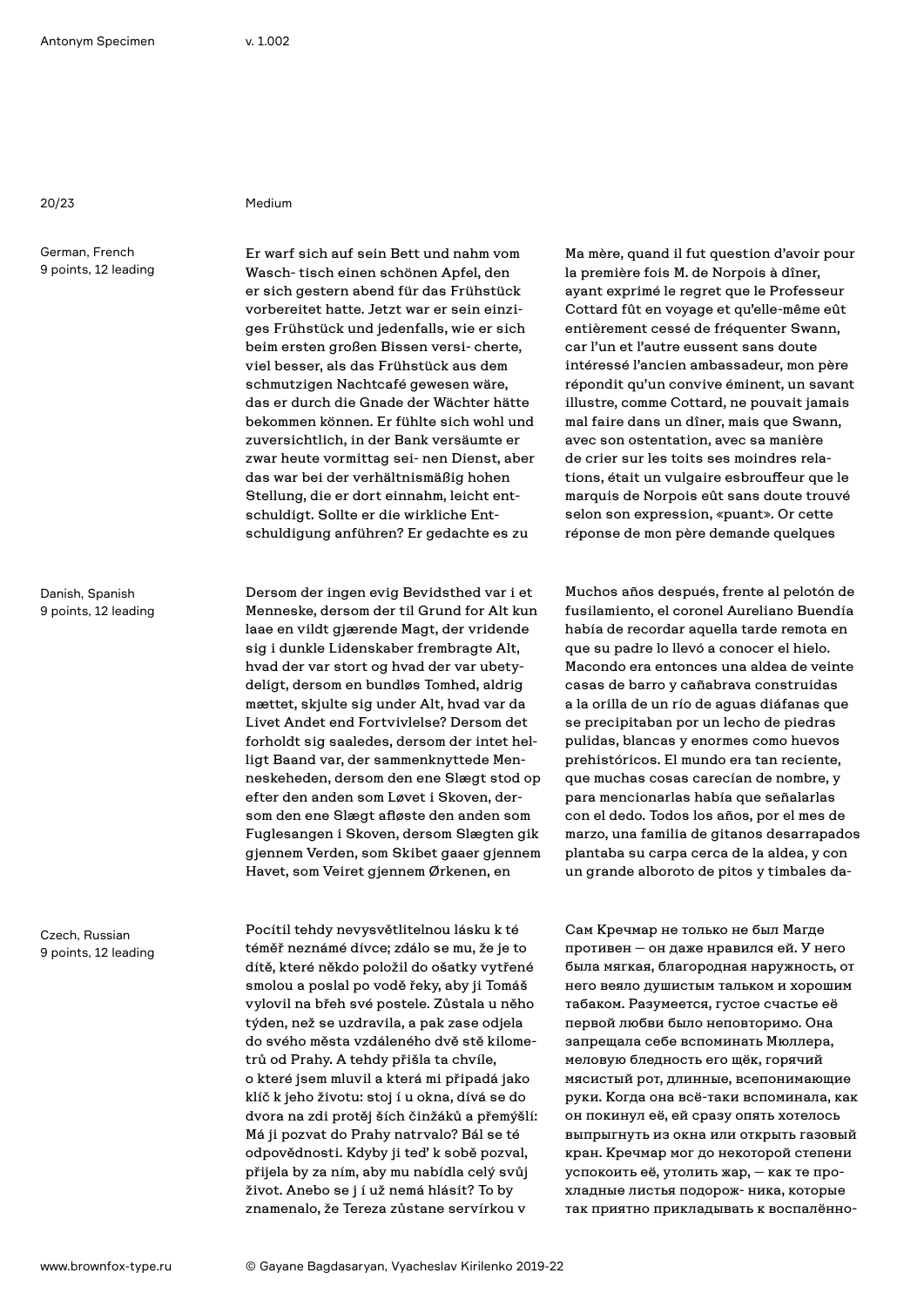20/23 Medium

German, French 9 points, 12 leading

Danish, Spanish 9 points, 12 leading

Czech, Russian 9 points, 12 leading

Er warf sich auf sein Bett und nahm vom Wasch- tisch einen schönen Apfel, den er sich gestern abend für das Frühstück vorbereitet hatte. Jetzt war er sein einziges Frühstück und jedenfalls, wie er sich beim ersten großen Bissen versi- cherte, viel besser, als das Frühstück aus dem schmutzigen Nachtcafé gewesen wäre, das er durch die Gnade der Wächter hätte bekommen können. Er fühlte sich wohl und zuversichtlich, in der Bank versäumte er zwar heute vormittag sei- nen Dienst, aber das war bei der verhältnismäßig hohen Stellung, die er dort einnahm, leicht entschuldigt. Sollte er die wirkliche Entschuldigung anführen? Er gedachte es zu

Dersom der ingen evig Bevidsthed var i et Menneske, dersom der til Grund for Alt kun laae en vildt gjærende Magt, der vridende sig i dunkle Lidenskaber frembragte Alt, hvad der var stort og hvad der var ubetydeligt, dersom en bundløs Tomhed, aldrig mættet, skjulte sig under Alt, hvad var da Livet Andet end Fortvivlelse? Dersom det forholdt sig saaledes, dersom der intet helligt Baand var, der sammenknyttede Menneskeheden, dersom den ene Slægt stod op efter den anden som Løvet i Skoven, dersom den ene Slægt afløste den anden som Fuglesangen i Skoven, dersom Slægten gik gjennem Verden, som Skibet gaaer gjennem Havet, som Veiret gjennem Ørkenen, en

Pocítil tehdy nevysvětlitelnou lásku k té téměř neznámé dívce; zdálo se mu, že je to dítě, které někdo položil do ošatky vytřené smolou a poslal po vodě řeky, aby ji Tomáš vylovil na břeh své postele. Zůstala u něho týden, než se uzdravila, a pak zase odjela do svého města vzdáleného dvě stě kilometrů od Prahy. A tehdy přišla ta chvíle, o které jsem mluvil a která mi připadá jako klíč k jeho životu: stoj í u okna, dívá se do dvora na zdi protěj ších činžáků a přemýšlí: Má ji pozvat do Prahy natrvalo? Bál se té odpovědnosti. Kdyby ji teď k sobě pozval, přijela by za ním, aby mu nabídla celý svůj život. Anebo se j í už nemá hlásit? To by znamenalo, že Tereza zůstane servírkou v

Ma mère, quand il fut question d'avoir pour la première fois M. de Norpois à dîner, ayant exprimé le regret que le Professeur Cottard fût en voyage et qu'elle-même eût entièrement cessé de fréquenter Swann, car l'un et l'autre eussent sans doute intéressé l'ancien ambassadeur, mon père répondit qu'un convive éminent, un savant illustre, comme Cottard, ne pouvait jamais mal faire dans un dîner, mais que Swann, avec son ostentation, avec sa manière de crier sur les toits ses moindres relations, était un vulgaire esbrouffeur que le marquis de Norpois eût sans doute trouvé selon son expression, «puant». Or cette réponse de mon père demande quelques

Muchos años después, frente al pelotón de fusilamiento, el coronel Aureliano Buendía había de recordar aquella tarde remota en que su padre lo llevó a conocer el hielo. Macondo era entonces una aldea de veinte casas de barro y cañabrava construidas a la orilla de un río de aguas diáfanas que se precipitaban por un lecho de piedras pulidas, blancas y enormes como huevos prehistóricos. El mundo era tan reciente, que muchas cosas carecían de nombre, y para mencionarlas había que señalarlas con el dedo. Todos los años, por el mes de marzo, una familia de gitanos desarrapados plantaba su carpa cerca de la aldea, y con un grande alboroto de pitos y timbales da-

Сам Кречмар не только не был Магде противен — он даже нравился ей. У него была мягкая, благородная наружность, от него веяло душистым тальком и хорошим табаком. Разумеется, густое счастье её первой любви было неповторимо. Она запрещала себе вспоминать Мюллера, меловую бледность его щёк, горячий мясистый рот, длинные, всепонимающие руки. Когда она всё-таки вспоминала, как он покинул её, ей сразу опять хотелось выпрыгнуть из окна или открыть газовый кран. Кречмар мог до некоторой степени успокоить её, утолить жар, — как те прохладные листья подорож- ника, которые так приятно прикладывать к воспалённо-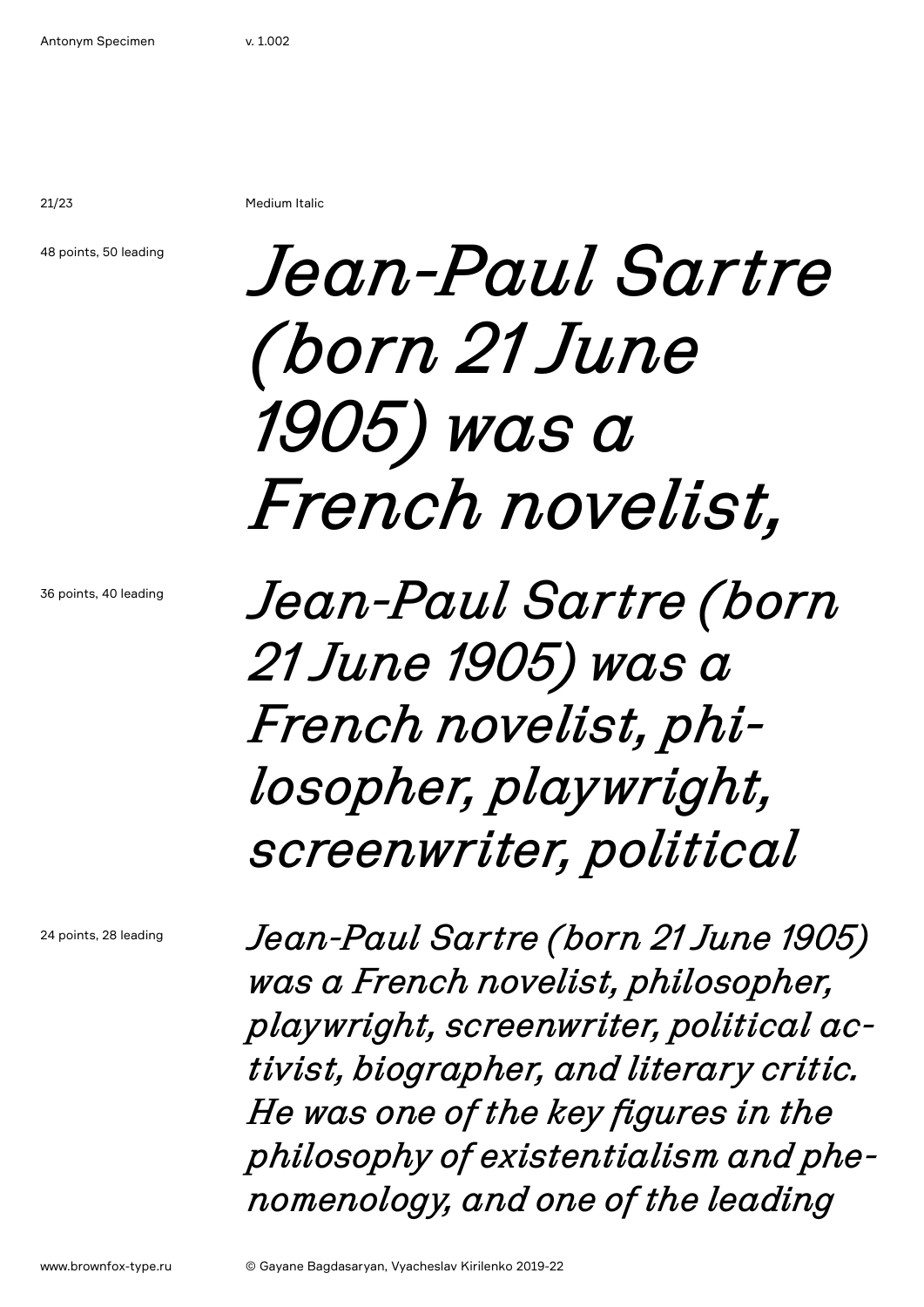21/23 Medium Italic

48 points, 50 leading

## *Jean-Paul Sartre (born 21 June 1905) was a French novelist,*

36 points, 40 leading

*Jean-Paul Sartre (born 21 June 1905) was a French novelist, philosopher, playwright, screenwriter, political*

24 points, 28 leading

*Jean-Paul Sartre (born 21 June 1905) was a French novelist, philosopher, playwright, screenwriter, political activist, biographer, and literary critic. He was one of the key figures in the philosophy of existentialism and phenomenology, and one of the leading*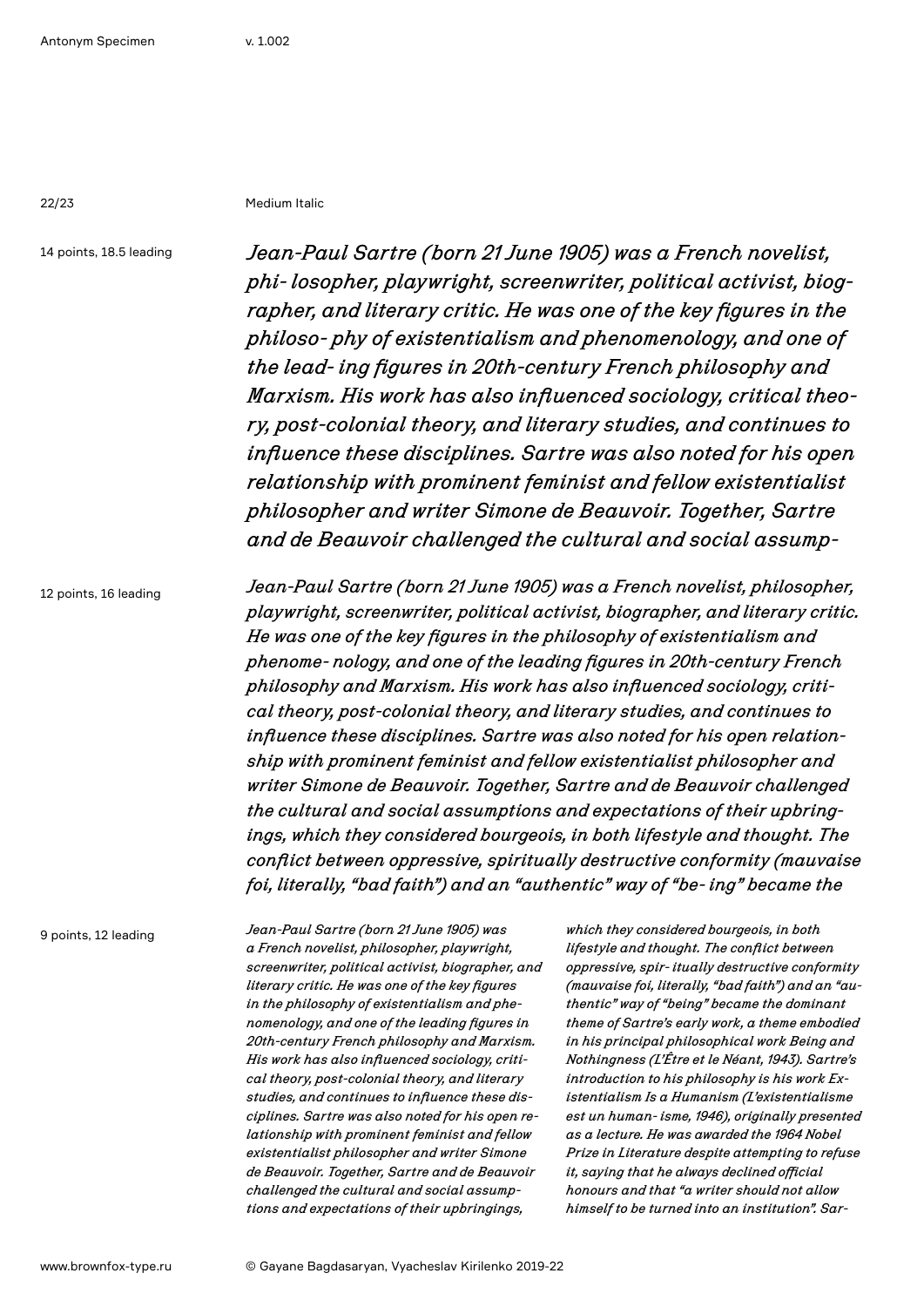22/23 Medium Italic

14 points, 18.5 leading

*Jean-Paul Sartre (born 21 June 1905) was a French novelist, phi- losopher, playwright, screenwriter, political activist, biographer, and literary critic. He was one of the key figures in the philoso- phy of existentialism and phenomenology, and one of the lead- ing figures in 20th-century French philosophy and Marxism. His work has also influenced sociology, critical theory, post-colonial theory, and literary studies, and continues to influence these disciplines. Sartre was also noted for his open relationship with prominent feminist and fellow existentialist philosopher and writer Simone de Beauvoir. Together, Sartre and de Beauvoir challenged the cultural and social assump-*

12 points, 16 leading

*Jean-Paul Sartre (born 21 June 1905) was a French novelist, philosopher, playwright, screenwriter, political activist, biographer, and literary critic. He was one of the key figures in the philosophy of existentialism and phenome- nology, and one of the leading figures in 20th-century French philosophy and Marxism. His work has also influenced sociology, critical theory, post-colonial theory, and literary studies, and continues to influence these disciplines. Sartre was also noted for his open relationship with prominent feminist and fellow existentialist philosopher and writer Simone de Beauvoir. Together, Sartre and de Beauvoir challenged the cultural and social assumptions and expectations of their upbringings, which they considered bourgeois, in both lifestyle and thought. The conflict between oppressive, spiritually destructive conformity (mauvaise foi, literally, "bad faith") and an "authentic" way of "be- ing" became the* 

9 points, 12 leading

*Jean-Paul Sartre (born 21 June 1905) was a French novelist, philosopher, playwright, screenwriter, political activist, biographer, and literary critic. He was one of the key figures in the philosophy of existentialism and phenomenology, and one of the leading figures in 20th-century French philosophy and Marxism. His work has also influenced sociology, critical theory, post-colonial theory, and literary studies, and continues to influence these disciplines. Sartre was also noted for his open relationship with prominent feminist and fellow existentialist philosopher and writer Simone de Beauvoir. Together, Sartre and de Beauvoir challenged the cultural and social assumptions and expectations of their upbringings,* 

*which they considered bourgeois, in both lifestyle and thought. The conflict between oppressive, spir- itually destructive conformity (mauvaise foi, literally, "bad faith") and an "authentic" way of "being" became the dominant theme of Sartre's early work, a theme embodied in his principal philosophical work Being and Nothingness (L'Être et le Néant, 1943). Sartre's introduction to his philosophy is his work Existentialism Is a Humanism (L'existentialisme est un human- isme, 1946), originally presented as a lecture. He was awarded the 1964 Nobel Prize in Literature despite attempting to refuse it, saying that he always declined official honours and that "a writer should not allow himself to be turned into an institution". Sar-*